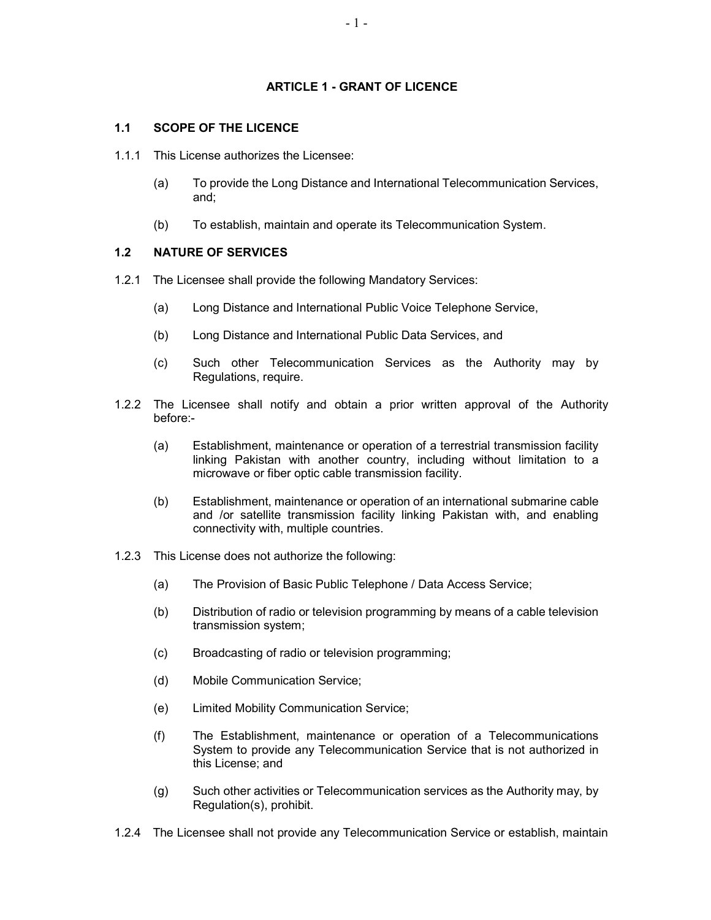#### ARTICLE 1 - GRANT OF LICENCE

# 1.1 SCOPE OF THE LICENCE

- 1.1.1 This License authorizes the Licensee:
	- (a) To provide the Long Distance and International Telecommunication Services, and;
	- (b) To establish, maintain and operate its Telecommunication System.

#### 1.2 NATURE OF SERVICES

- 1.2.1 The Licensee shall provide the following Mandatory Services:
	- (a) Long Distance and International Public Voice Telephone Service,
	- (b) Long Distance and International Public Data Services, and
	- (c) Such other Telecommunication Services as the Authority may by Regulations, require.
- 1.2.2 The Licensee shall notify and obtain a prior written approval of the Authority before:-
	- (a) Establishment, maintenance or operation of a terrestrial transmission facility linking Pakistan with another country, including without limitation to a microwave or fiber optic cable transmission facility.
	- (b) Establishment, maintenance or operation of an international submarine cable and /or satellite transmission facility linking Pakistan with, and enabling connectivity with, multiple countries.
- 1.2.3 This License does not authorize the following:
	- (a) The Provision of Basic Public Telephone / Data Access Service;
	- (b) Distribution of radio or television programming by means of a cable television transmission system;
	- (c) Broadcasting of radio or television programming;
	- (d) Mobile Communication Service;
	- (e) Limited Mobility Communication Service;
	- (f) The Establishment, maintenance or operation of a Telecommunications System to provide any Telecommunication Service that is not authorized in this License; and
	- (g) Such other activities or Telecommunication services as the Authority may, by Regulation(s), prohibit.
- 1.2.4 The Licensee shall not provide any Telecommunication Service or establish, maintain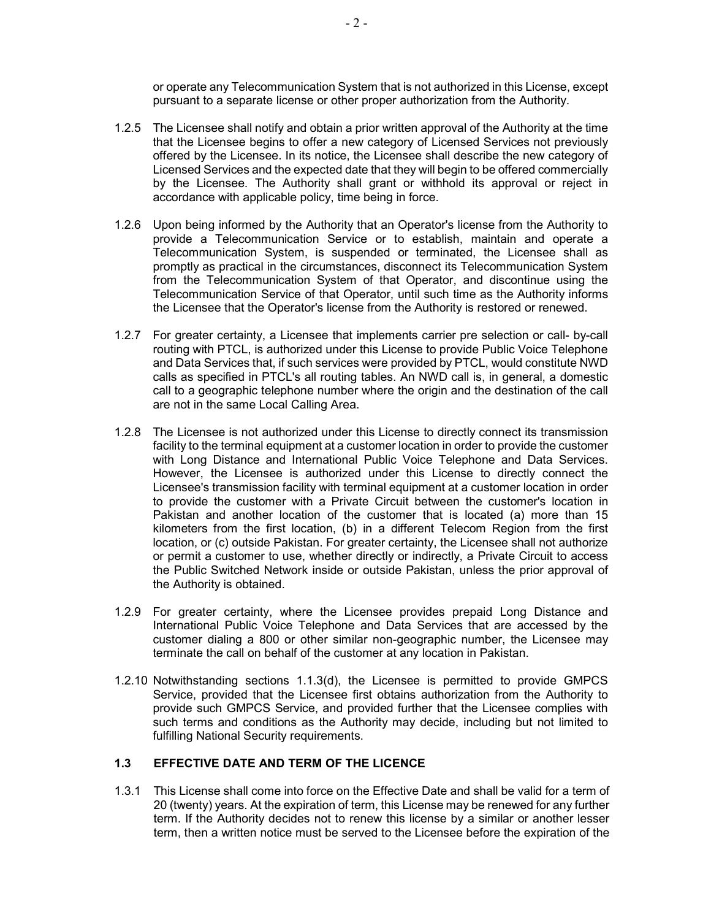or operate any Telecommunication System that is not authorized in this License, except pursuant to a separate license or other proper authorization from the Authority.

- 1.2.5 The Licensee shall notify and obtain a prior written approval of the Authority at the time that the Licensee begins to offer a new category of Licensed Services not previously offered by the Licensee. In its notice, the Licensee shall describe the new category of Licensed Services and the expected date that they will begin to be offered commercially by the Licensee. The Authority shall grant or withhold its approval or reject in accordance with applicable policy, time being in force.
- 1.2.6 Upon being informed by the Authority that an Operator's license from the Authority to provide a Telecommunication Service or to establish, maintain and operate a Telecommunication System, is suspended or terminated, the Licensee shall as promptly as practical in the circumstances, disconnect its Telecommunication System from the Telecommunication System of that Operator, and discontinue using the Telecommunication Service of that Operator, until such time as the Authority informs the Licensee that the Operator's license from the Authority is restored or renewed.
- 1.2.7 For greater certainty, a Licensee that implements carrier pre selection or call- by-call routing with PTCL, is authorized under this License to provide Public Voice Telephone and Data Services that, if such services were provided by PTCL, would constitute NWD calls as specified in PTCL's all routing tables. An NWD call is, in general, a domestic call to a geographic telephone number where the origin and the destination of the call are not in the same Local Calling Area.
- 1.2.8 The Licensee is not authorized under this License to directly connect its transmission facility to the terminal equipment at a customer location in order to provide the customer with Long Distance and International Public Voice Telephone and Data Services. However, the Licensee is authorized under this License to directly connect the Licensee's transmission facility with terminal equipment at a customer location in order to provide the customer with a Private Circuit between the customer's location in Pakistan and another location of the customer that is located (a) more than 15 kilometers from the first location, (b) in a different Telecom Region from the first location, or (c) outside Pakistan. For greater certainty, the Licensee shall not authorize or permit a customer to use, whether directly or indirectly, a Private Circuit to access the Public Switched Network inside or outside Pakistan, unless the prior approval of the Authority is obtained.
- 1.2.9 For greater certainty, where the Licensee provides prepaid Long Distance and International Public Voice Telephone and Data Services that are accessed by the customer dialing a 800 or other similar non-geographic number, the Licensee may terminate the call on behalf of the customer at any location in Pakistan.
- 1.2.10 Notwithstanding sections 1.1.3(d), the Licensee is permitted to provide GMPCS Service, provided that the Licensee first obtains authorization from the Authority to provide such GMPCS Service, and provided further that the Licensee complies with such terms and conditions as the Authority may decide, including but not limited to fulfilling National Security requirements.

#### 1.3 EFFECTIVE DATE AND TERM OF THE LICENCE

1.3.1 This License shall come into force on the Effective Date and shall be valid for a term of 20 (twenty) years. At the expiration of term, this License may be renewed for any further term. If the Authority decides not to renew this license by a similar or another lesser term, then a written notice must be served to the Licensee before the expiration of the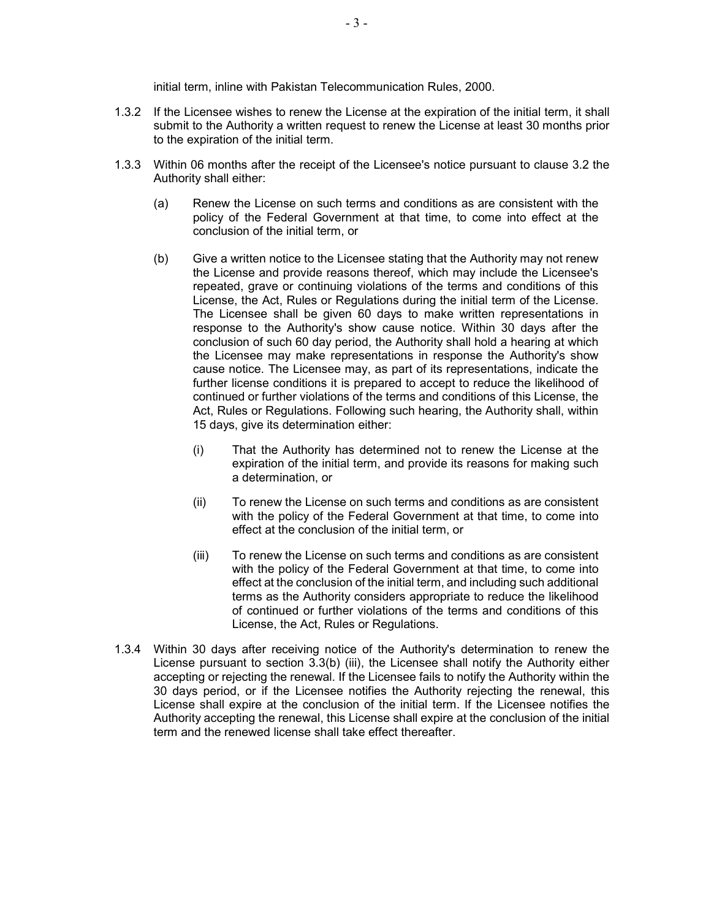initial term, inline with Pakistan Telecommunication Rules, 2000.

- 1.3.2 If the Licensee wishes to renew the License at the expiration of the initial term, it shall submit to the Authority a written request to renew the License at least 30 months prior to the expiration of the initial term.
- 1.3.3 Within 06 months after the receipt of the Licensee's notice pursuant to clause 3.2 the Authority shall either:
	- (a) Renew the License on such terms and conditions as are consistent with the policy of the Federal Government at that time, to come into effect at the conclusion of the initial term, or
	- (b) Give a written notice to the Licensee stating that the Authority may not renew the License and provide reasons thereof, which may include the Licensee's repeated, grave or continuing violations of the terms and conditions of this License, the Act, Rules or Regulations during the initial term of the License. The Licensee shall be given 60 days to make written representations in response to the Authority's show cause notice. Within 30 days after the conclusion of such 60 day period, the Authority shall hold a hearing at which the Licensee may make representations in response the Authority's show cause notice. The Licensee may, as part of its representations, indicate the further license conditions it is prepared to accept to reduce the likelihood of continued or further violations of the terms and conditions of this License, the Act, Rules or Regulations. Following such hearing, the Authority shall, within 15 days, give its determination either:
		- (i) That the Authority has determined not to renew the License at the expiration of the initial term, and provide its reasons for making such a determination, or
		- (ii) To renew the License on such terms and conditions as are consistent with the policy of the Federal Government at that time, to come into effect at the conclusion of the initial term, or
		- (iii) To renew the License on such terms and conditions as are consistent with the policy of the Federal Government at that time, to come into effect at the conclusion of the initial term, and including such additional terms as the Authority considers appropriate to reduce the likelihood of continued or further violations of the terms and conditions of this License, the Act, Rules or Regulations.
- 1.3.4 Within 30 days after receiving notice of the Authority's determination to renew the License pursuant to section 3.3(b) (iii), the Licensee shall notify the Authority either accepting or rejecting the renewal. If the Licensee fails to notify the Authority within the 30 days period, or if the Licensee notifies the Authority rejecting the renewal, this License shall expire at the conclusion of the initial term. If the Licensee notifies the Authority accepting the renewal, this License shall expire at the conclusion of the initial term and the renewed license shall take effect thereafter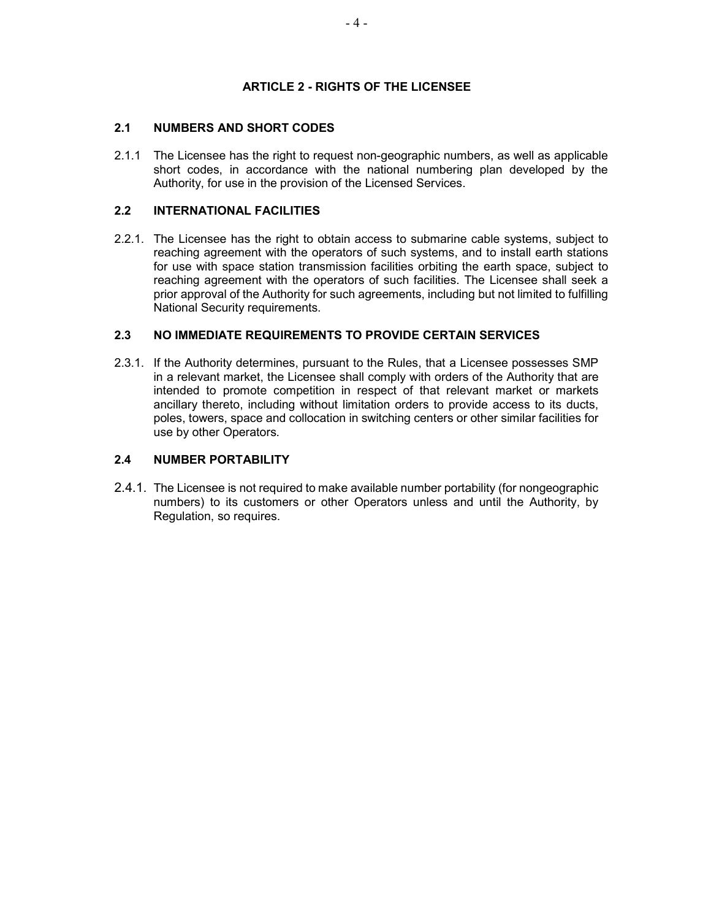# ARTICLE 2 - RIGHTS OF THE LICENSEE

# 2.1 NUMBERS AND SHORT CODES

2.1.1 The Licensee has the right to request non-geographic numbers, as well as applicable short codes, in accordance with the national numbering plan developed by the Authority, for use in the provision of the Licensed Services.

# 2.2 INTERNATIONAL FACILITIES

2.2.1. The Licensee has the right to obtain access to submarine cable systems, subject to reaching agreement with the operators of such systems, and to install earth stations for use with space station transmission facilities orbiting the earth space, subject to reaching agreement with the operators of such facilities. The Licensee shall seek a prior approval of the Authority for such agreements, including but not limited to fulfilling National Security requirements.

# 2.3 NO IMMEDIATE REQUIREMENTS TO PROVIDE CERTAIN SERVICES

2.3.1. If the Authority determines, pursuant to the Rules, that a Licensee possesses SMP in a relevant market, the Licensee shall comply with orders of the Authority that are intended to promote competition in respect of that relevant market or markets ancillary thereto, including without limitation orders to provide access to its ducts, poles, towers, space and collocation in switching centers or other similar facilities for use by other Operators.

# 2.4 NUMBER PORTABILITY

2.4.1. The Licensee is not required to make available number portability (for nongeographic numbers) to its customers or other Operators unless and until the Authority, by Regulation, so requires.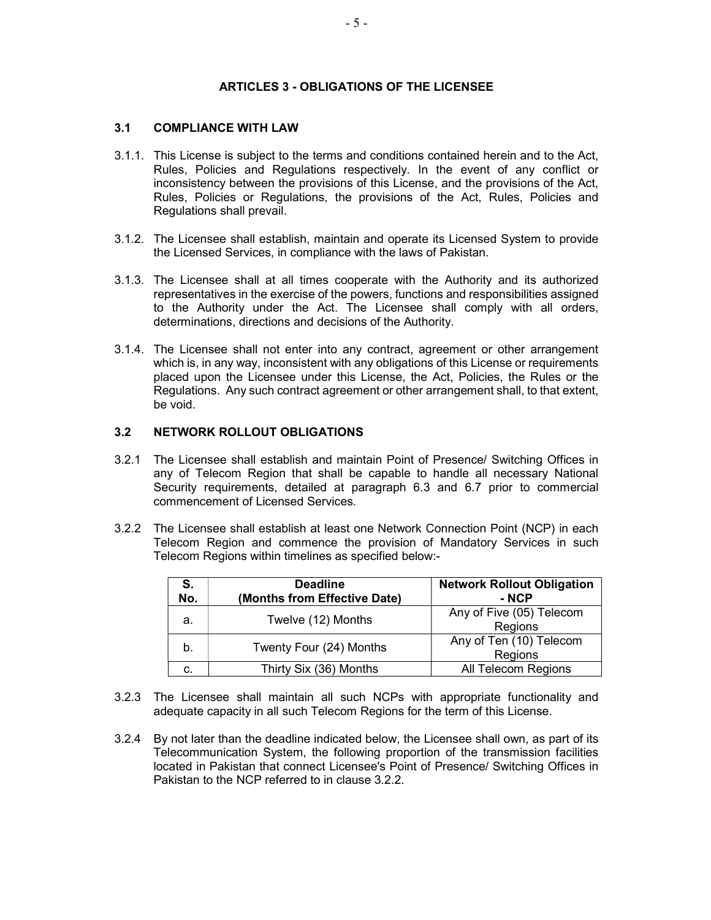### ARTICLES 3 - OBLIGATIONS OF THE LICENSEE

# 3.1 COMPLIANCE WITH LAW

- 3.1.1. This License is subject to the terms and conditions contained herein and to the Act, Rules, Policies and Regulations respectively. In the event of any conflict or inconsistency between the provisions of this License, and the provisions of the Act, Rules, Policies or Regulations, the provisions of the Act, Rules, Policies and Regulations shall prevail.
- 3.1.2. The Licensee shall establish, maintain and operate its Licensed System to provide the Licensed Services, in compliance with the laws of Pakistan.
- 3.1.3. The Licensee shall at all times cooperate with the Authority and its authorized representatives in the exercise of the powers, functions and responsibilities assigned to the Authority under the Act. The Licensee shall comply with all orders, determinations, directions and decisions of the Authority.
- 3.1.4. The Licensee shall not enter into any contract, agreement or other arrangement which is, in any way, inconsistent with any obligations of this License or requirements placed upon the Licensee under this License, the Act, Policies, the Rules or the Regulations. Any such contract agreement or other arrangement shall, to that extent, be void.

### 3.2 NETWORK ROLLOUT OBLIGATIONS

- 3.2.1 The Licensee shall establish and maintain Point of Presence/ Switching Offices in any of Telecom Region that shall be capable to handle all necessary National Security requirements, detailed at paragraph 6.3 and 6.7 prior to commercial commencement of Licensed Services.
- 3.2.2 The Licensee shall establish at least one Network Connection Point (NCP) in each Telecom Region and commence the provision of Mandatory Services in such Telecom Regions within timelines as specified below:-

| S.<br>No. | <b>Deadline</b><br>(Months from Effective Date) | <b>Network Rollout Obligation</b><br>- NCP |
|-----------|-------------------------------------------------|--------------------------------------------|
| а.        | Twelve (12) Months                              | Any of Five (05) Telecom<br>Regions        |
| b.        | Twenty Four (24) Months                         | Any of Ten (10) Telecom<br>Regions         |
| c.        | Thirty Six (36) Months                          | All Telecom Regions                        |

- 3.2.3 The Licensee shall maintain all such NCPs with appropriate functionality and adequate capacity in all such Telecom Regions for the term of this License.
- 3.2.4 By not later than the deadline indicated below, the Licensee shall own, as part of its Telecommunication System, the following proportion of the transmission facilities located in Pakistan that connect Licensee's Point of Presence/ Switching Offices in Pakistan to the NCP referred to in clause 3.2.2.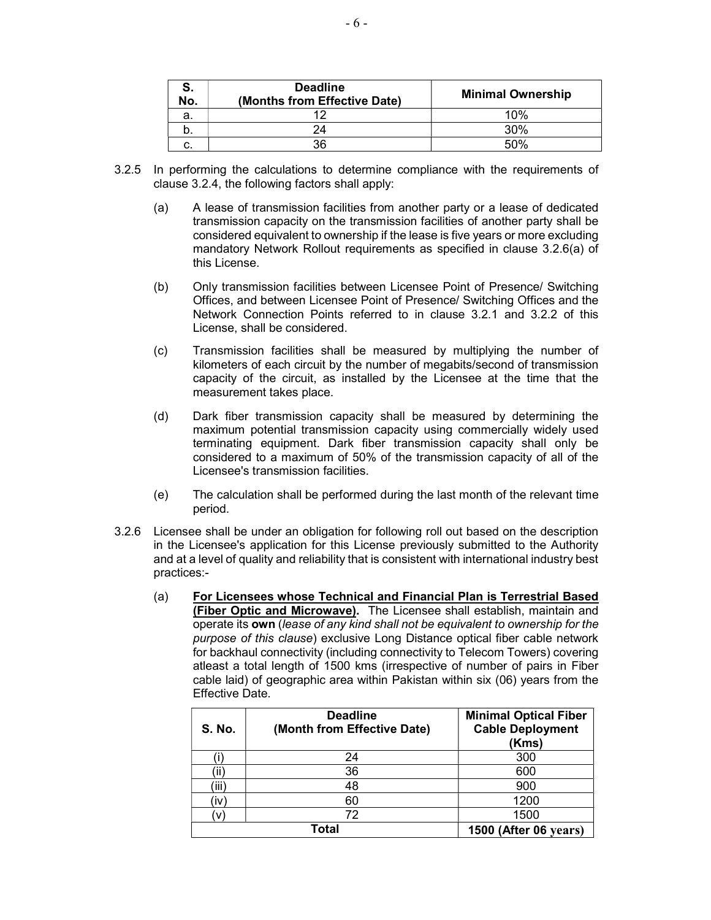| S.<br>No. | <b>Deadline</b><br>(Months from Effective Date) | <b>Minimal Ownership</b> |
|-----------|-------------------------------------------------|--------------------------|
| а.        | 10                                              | 10%                      |
| b.        | 24                                              | 30%                      |
| c.        | 36                                              | 50%                      |

- 3.2.5 In performing the calculations to determine compliance with the requirements of clause 3.2.4, the following factors shall apply:
	- (a) A lease of transmission facilities from another party or a lease of dedicated transmission capacity on the transmission facilities of another party shall be considered equivalent to ownership if the lease is five years or more excluding mandatory Network Rollout requirements as specified in clause 3.2.6(a) of this License.
	- (b) Only transmission facilities between Licensee Point of Presence/ Switching Offices, and between Licensee Point of Presence/ Switching Offices and the Network Connection Points referred to in clause 3.2.1 and 3.2.2 of this License, shall be considered.
	- (c) Transmission facilities shall be measured by multiplying the number of kilometers of each circuit by the number of megabits/second of transmission capacity of the circuit, as installed by the Licensee at the time that the measurement takes place.
	- (d) Dark fiber transmission capacity shall be measured by determining the maximum potential transmission capacity using commercially widely used terminating equipment. Dark fiber transmission capacity shall only be considered to a maximum of 50% of the transmission capacity of all of the Licensee's transmission facilities.
	- (e) The calculation shall be performed during the last month of the relevant time period.
- 3.2.6 Licensee shall be under an obligation for following roll out based on the description in the Licensee's application for this License previously submitted to the Authority and at a level of quality and reliability that is consistent with international industry best practices:-
	- (a) For Licensees whose Technical and Financial Plan is Terrestrial Based (Fiber Optic and Microwave). The Licensee shall establish, maintain and operate its own (lease of any kind shall not be equivalent to ownership for the purpose of this clause) exclusive Long Distance optical fiber cable network for backhaul connectivity (including connectivity to Telecom Towers) covering atleast a total length of 1500 kms (irrespective of number of pairs in Fiber cable laid) of geographic area within Pakistan within six (06) years from the Effective Date.

| <b>S. No.</b> | <b>Deadline</b><br>(Month from Effective Date) | <b>Minimal Optical Fiber</b><br><b>Cable Deployment</b><br>(Kms) |
|---------------|------------------------------------------------|------------------------------------------------------------------|
|               | 24                                             | 300                                                              |
| ΪÏ            | 36                                             | 600                                                              |
| 'iii)         | 48                                             | 900                                                              |
| ïv)           | 60                                             | 1200                                                             |
| v             | 72                                             | 1500                                                             |
| Total         |                                                | 1500 (After 06 years)                                            |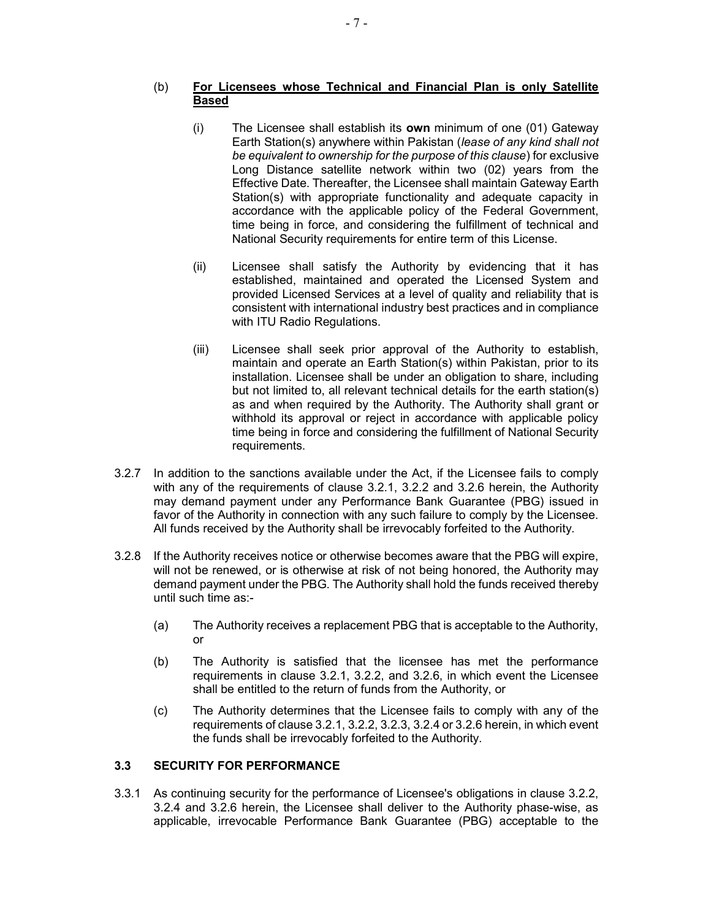# (b) For Licensees whose Technical and Financial Plan is only Satellite Based

- (i) The Licensee shall establish its own minimum of one (01) Gateway Earth Station(s) anywhere within Pakistan (lease of any kind shall not be equivalent to ownership for the purpose of this clause) for exclusive Long Distance satellite network within two (02) years from the Effective Date. Thereafter, the Licensee shall maintain Gateway Earth Station(s) with appropriate functionality and adequate capacity in accordance with the applicable policy of the Federal Government, time being in force, and considering the fulfillment of technical and National Security requirements for entire term of this License.
- (ii) Licensee shall satisfy the Authority by evidencing that it has established, maintained and operated the Licensed System and provided Licensed Services at a level of quality and reliability that is consistent with international industry best practices and in compliance with ITU Radio Regulations.
- (iii) Licensee shall seek prior approval of the Authority to establish, maintain and operate an Earth Station(s) within Pakistan, prior to its installation. Licensee shall be under an obligation to share, including but not limited to, all relevant technical details for the earth station(s) as and when required by the Authority. The Authority shall grant or withhold its approval or reject in accordance with applicable policy time being in force and considering the fulfillment of National Security requirements.
- 3.2.7 In addition to the sanctions available under the Act, if the Licensee fails to comply with any of the requirements of clause 3.2.1, 3.2.2 and 3.2.6 herein, the Authority may demand payment under any Performance Bank Guarantee (PBG) issued in favor of the Authority in connection with any such failure to comply by the Licensee. All funds received by the Authority shall be irrevocably forfeited to the Authority.
- 3.2.8 If the Authority receives notice or otherwise becomes aware that the PBG will expire, will not be renewed, or is otherwise at risk of not being honored, the Authority may demand payment under the PBG. The Authority shall hold the funds received thereby until such time as:-
	- (a) The Authority receives a replacement PBG that is acceptable to the Authority, or
	- (b) The Authority is satisfied that the licensee has met the performance requirements in clause 3.2.1, 3.2.2, and 3.2.6, in which event the Licensee shall be entitled to the return of funds from the Authority, or
	- (c) The Authority determines that the Licensee fails to comply with any of the requirements of clause 3.2.1, 3.2.2, 3.2.3, 3.2.4 or 3.2.6 herein, in which event the funds shall be irrevocably forfeited to the Authority.

# 3.3 SECURITY FOR PERFORMANCE

3.3.1 As continuing security for the performance of Licensee's obligations in clause 3.2.2, 3.2.4 and 3.2.6 herein, the Licensee shall deliver to the Authority phase-wise, as applicable, irrevocable Performance Bank Guarantee (PBG) acceptable to the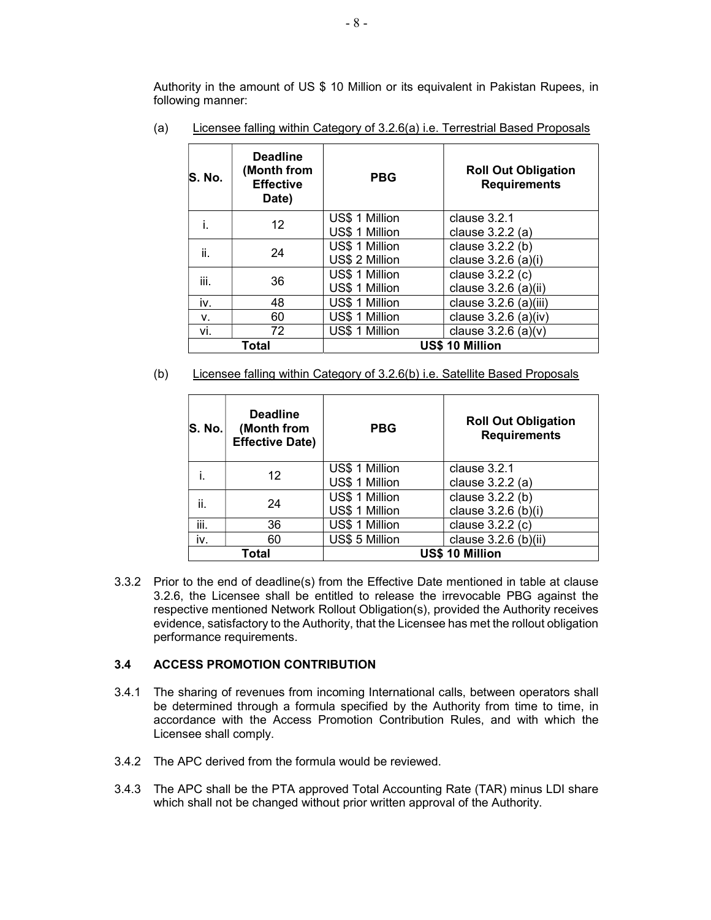Authority in the amount of US \$ 10 Million or its equivalent in Pakistan Rupees, in following manner:

| S. No. | <b>Deadline</b><br>(Month from<br><b>Effective</b><br>Date) | <b>PBG</b>     | <b>Roll Out Obligation</b><br><b>Requirements</b> |
|--------|-------------------------------------------------------------|----------------|---------------------------------------------------|
|        | 12 <sup>2</sup>                                             | US\$ 1 Million | clause 3.2.1                                      |
|        |                                                             | US\$ 1 Million | clause 3.2.2 (a)                                  |
| ii.    | 24                                                          | US\$ 1 Million | clause 3.2.2 (b)                                  |
|        |                                                             | US\$ 2 Million | clause 3.2.6 (a)(i)                               |
| iii.   | 36                                                          | US\$ 1 Million | clause 3.2.2 (c)                                  |
|        |                                                             | US\$ 1 Million | clause 3.2.6 (a)(ii)                              |
| iv.    | 48                                                          | US\$ 1 Million | clause $3.2.6$ (a)(iii)                           |
| ν.     | 60                                                          | US\$ 1 Million | clause $3.2.6$ (a)(iv)                            |
| vi.    | 72                                                          | US\$ 1 Million | clause $3.2.6$ (a)(v)                             |
| Total  |                                                             |                | US\$ 10 Million                                   |

(a) Licensee falling within Category of 3.2.6(a) i.e. Terrestrial Based Proposals

(b) Licensee falling within Category of 3.2.6(b) i.e. Satellite Based Proposals

| <b>S. No.</b> | <b>Deadline</b><br>(Month from<br><b>Effective Date)</b> | <b>PBG</b>     | <b>Roll Out Obligation</b><br><b>Requirements</b> |
|---------------|----------------------------------------------------------|----------------|---------------------------------------------------|
|               | 12                                                       | US\$ 1 Million | clause 3.2.1                                      |
|               |                                                          | US\$ 1 Million | clause 3.2.2 (a)                                  |
| ii.           | 24                                                       | US\$ 1 Million | clause 3.2.2 (b)                                  |
|               |                                                          | US\$ 1 Million | clause 3.2.6 (b)(i)                               |
| iii.          | 36                                                       | US\$ 1 Million | clause 3.2.2 (c)                                  |
| iv.           | 60                                                       | US\$ 5 Million | clause $3.2.6$ (b)(ii)                            |
| Total         |                                                          |                | <b>US\$ 10 Million</b>                            |

3.3.2 Prior to the end of deadline(s) from the Effective Date mentioned in table at clause 3.2.6, the Licensee shall be entitled to release the irrevocable PBG against the respective mentioned Network Rollout Obligation(s), provided the Authority receives evidence, satisfactory to the Authority, that the Licensee has met the rollout obligation performance requirements.

### 3.4 ACCESS PROMOTION CONTRIBUTION

- 3.4.1 The sharing of revenues from incoming International calls, between operators shall be determined through a formula specified by the Authority from time to time, in accordance with the Access Promotion Contribution Rules, and with which the Licensee shall comply.
- 3.4.2 The APC derived from the formula would be reviewed.
- 3.4.3 The APC shall be the PTA approved Total Accounting Rate (TAR) minus LDI share which shall not be changed without prior written approval of the Authority.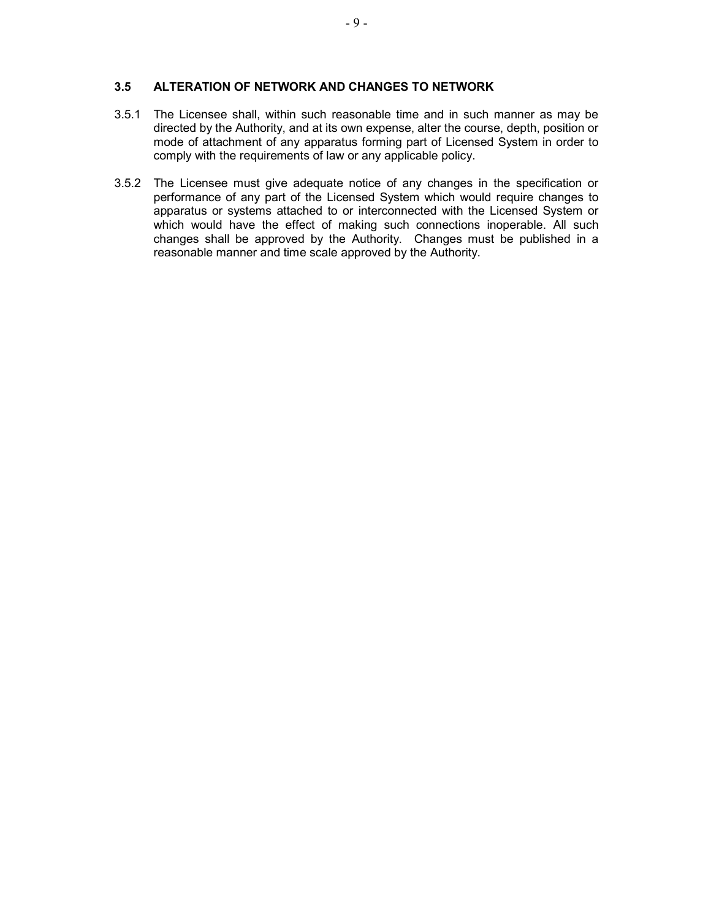### 3.5 ALTERATION OF NETWORK AND CHANGES TO NETWORK

- 3.5.1 The Licensee shall, within such reasonable time and in such manner as may be directed by the Authority, and at its own expense, alter the course, depth, position or mode of attachment of any apparatus forming part of Licensed System in order to comply with the requirements of law or any applicable policy.
- 3.5.2 The Licensee must give adequate notice of any changes in the specification or performance of any part of the Licensed System which would require changes to apparatus or systems attached to or interconnected with the Licensed System or which would have the effect of making such connections inoperable. All such changes shall be approved by the Authority. Changes must be published in a reasonable manner and time scale approved by the Authority.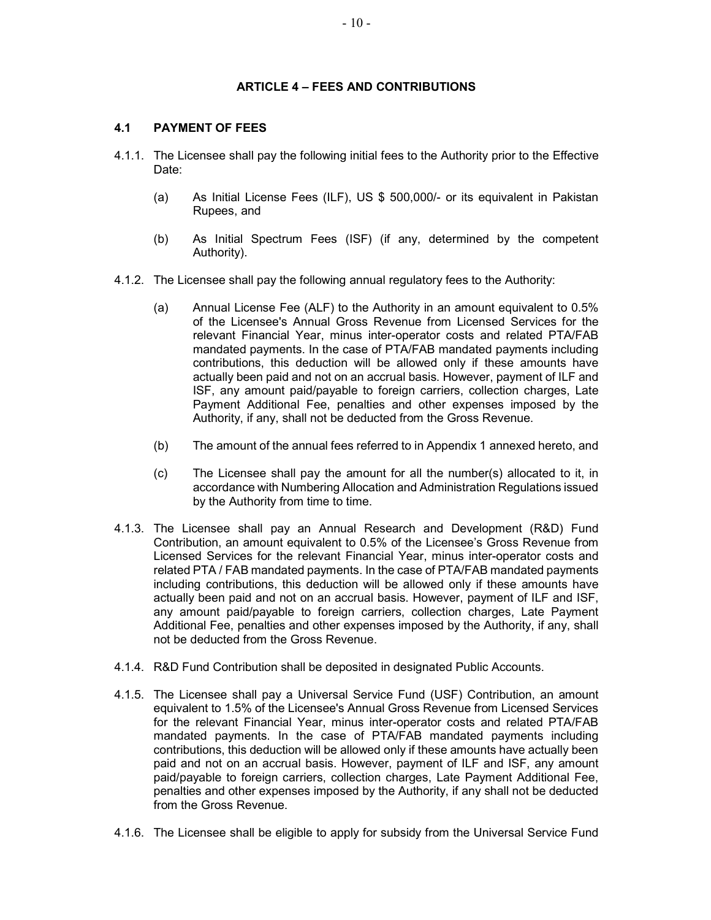### ARTICLE 4 – FEES AND CONTRIBUTIONS

### 4.1 PAYMENT OF FEES

- 4.1.1. The Licensee shall pay the following initial fees to the Authority prior to the Effective Date:
	- (a) As Initial License Fees (ILF), US \$ 500,000/- or its equivalent in Pakistan Rupees, and
	- (b) As Initial Spectrum Fees (ISF) (if any, determined by the competent Authority).
- 4.1.2. The Licensee shall pay the following annual regulatory fees to the Authority:
	- (a) Annual License Fee (ALF) to the Authority in an amount equivalent to 0.5% of the Licensee's Annual Gross Revenue from Licensed Services for the relevant Financial Year, minus inter-operator costs and related PTA/FAB mandated payments. In the case of PTA/FAB mandated payments including contributions, this deduction will be allowed only if these amounts have actually been paid and not on an accrual basis. However, payment of ILF and ISF, any amount paid/payable to foreign carriers, collection charges, Late Payment Additional Fee, penalties and other expenses imposed by the Authority, if any, shall not be deducted from the Gross Revenue.
	- (b) The amount of the annual fees referred to in Appendix 1 annexed hereto, and
	- (c) The Licensee shall pay the amount for all the number(s) allocated to it, in accordance with Numbering Allocation and Administration Regulations issued by the Authority from time to time.
- 4.1.3. The Licensee shall pay an Annual Research and Development (R&D) Fund Contribution, an amount equivalent to 0.5% of the Licensee's Gross Revenue from Licensed Services for the relevant Financial Year, minus inter-operator costs and related PTA / FAB mandated payments. In the case of PTA/FAB mandated payments including contributions, this deduction will be allowed only if these amounts have actually been paid and not on an accrual basis. However, payment of ILF and ISF, any amount paid/payable to foreign carriers, collection charges, Late Payment Additional Fee, penalties and other expenses imposed by the Authority, if any, shall not be deducted from the Gross Revenue.
- 4.1.4. R&D Fund Contribution shall be deposited in designated Public Accounts.
- 4.1.5. The Licensee shall pay a Universal Service Fund (USF) Contribution, an amount equivalent to 1.5% of the Licensee's Annual Gross Revenue from Licensed Services for the relevant Financial Year, minus inter-operator costs and related PTA/FAB mandated payments. In the case of PTA/FAB mandated payments including contributions, this deduction will be allowed only if these amounts have actually been paid and not on an accrual basis. However, payment of ILF and ISF, any amount paid/payable to foreign carriers, collection charges, Late Payment Additional Fee, penalties and other expenses imposed by the Authority, if any shall not be deducted from the Gross Revenue.
- 4.1.6. The Licensee shall be eligible to apply for subsidy from the Universal Service Fund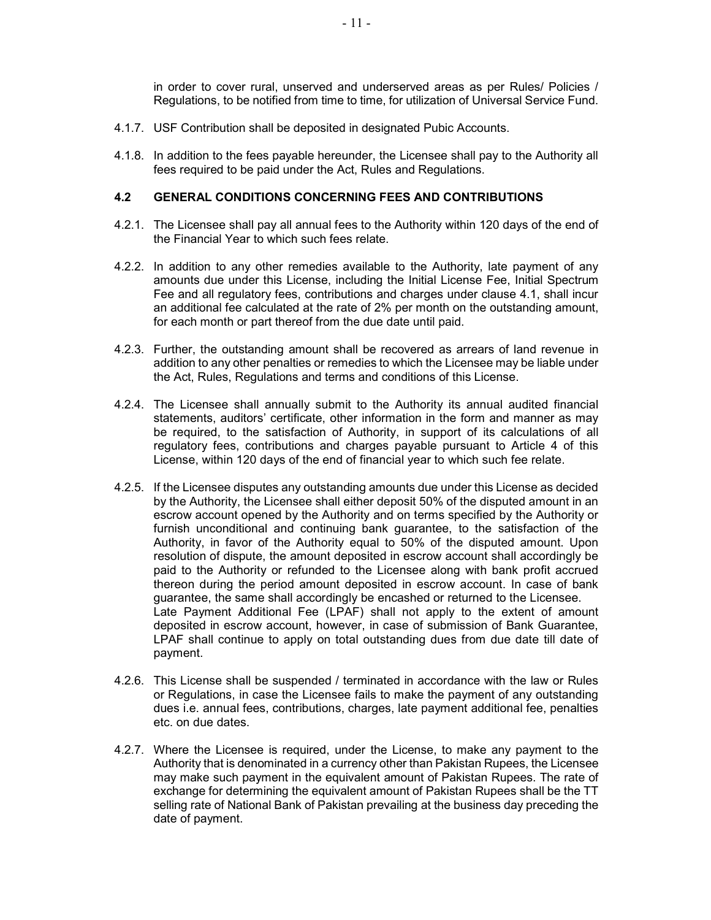in order to cover rural, unserved and underserved areas as per Rules/ Policies / Regulations, to be notified from time to time, for utilization of Universal Service Fund.

- 4.1.7. USF Contribution shall be deposited in designated Pubic Accounts.
- 4.1.8. In addition to the fees payable hereunder, the Licensee shall pay to the Authority all fees required to be paid under the Act, Rules and Regulations.

#### 4.2 GENERAL CONDITIONS CONCERNING FEES AND CONTRIBUTIONS

- 4.2.1. The Licensee shall pay all annual fees to the Authority within 120 days of the end of the Financial Year to which such fees relate.
- 4.2.2. In addition to any other remedies available to the Authority, late payment of any amounts due under this License, including the Initial License Fee, Initial Spectrum Fee and all regulatory fees, contributions and charges under clause 4.1, shall incur an additional fee calculated at the rate of 2% per month on the outstanding amount, for each month or part thereof from the due date until paid.
- 4.2.3. Further, the outstanding amount shall be recovered as arrears of land revenue in addition to any other penalties or remedies to which the Licensee may be liable under the Act, Rules, Regulations and terms and conditions of this License.
- 4.2.4. The Licensee shall annually submit to the Authority its annual audited financial statements, auditors' certificate, other information in the form and manner as may be required, to the satisfaction of Authority, in support of its calculations of all regulatory fees, contributions and charges payable pursuant to Article 4 of this License, within 120 days of the end of financial year to which such fee relate.
- 4.2.5. If the Licensee disputes any outstanding amounts due under this License as decided by the Authority, the Licensee shall either deposit 50% of the disputed amount in an escrow account opened by the Authority and on terms specified by the Authority or furnish unconditional and continuing bank guarantee, to the satisfaction of the Authority, in favor of the Authority equal to 50% of the disputed amount. Upon resolution of dispute, the amount deposited in escrow account shall accordingly be paid to the Authority or refunded to the Licensee along with bank profit accrued thereon during the period amount deposited in escrow account. In case of bank guarantee, the same shall accordingly be encashed or returned to the Licensee. Late Payment Additional Fee (LPAF) shall not apply to the extent of amount deposited in escrow account, however, in case of submission of Bank Guarantee, LPAF shall continue to apply on total outstanding dues from due date till date of payment.
- 4.2.6. This License shall be suspended / terminated in accordance with the law or Rules or Regulations, in case the Licensee fails to make the payment of any outstanding dues i.e. annual fees, contributions, charges, late payment additional fee, penalties etc. on due dates.
- 4.2.7. Where the Licensee is required, under the License, to make any payment to the Authority that is denominated in a currency other than Pakistan Rupees, the Licensee may make such payment in the equivalent amount of Pakistan Rupees. The rate of exchange for determining the equivalent amount of Pakistan Rupees shall be the TT selling rate of National Bank of Pakistan prevailing at the business day preceding the date of payment.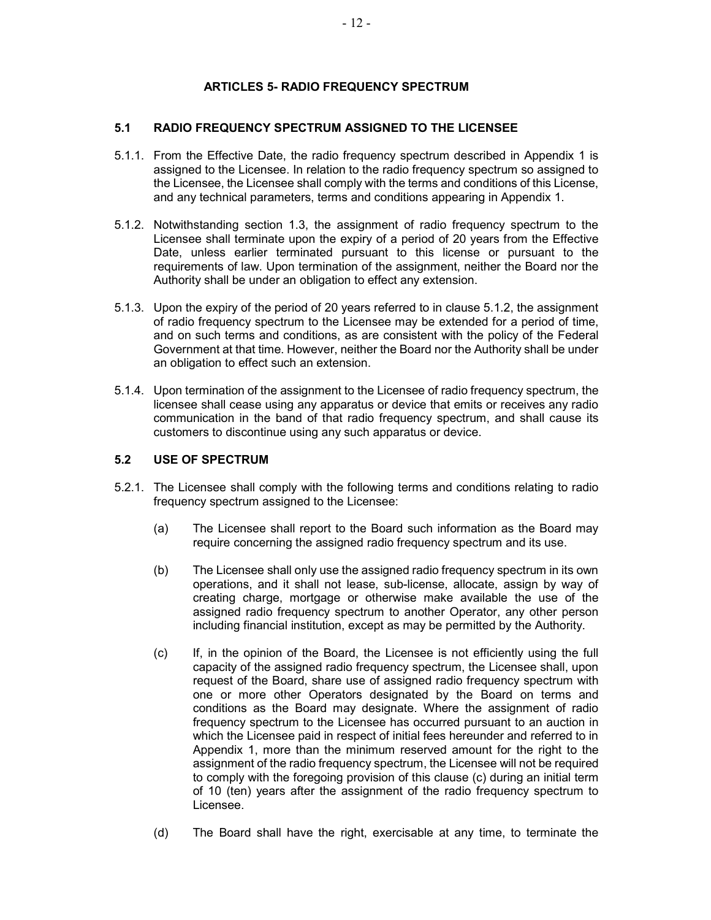# ARTICLES 5- RADIO FREQUENCY SPECTRUM

# 5.1 RADIO FREQUENCY SPECTRUM ASSIGNED TO THE LICENSEE

- 5.1.1. From the Effective Date, the radio frequency spectrum described in Appendix 1 is assigned to the Licensee. In relation to the radio frequency spectrum so assigned to the Licensee, the Licensee shall comply with the terms and conditions of this License, and any technical parameters, terms and conditions appearing in Appendix 1.
- 5.1.2. Notwithstanding section 1.3, the assignment of radio frequency spectrum to the Licensee shall terminate upon the expiry of a period of 20 years from the Effective Date, unless earlier terminated pursuant to this license or pursuant to the requirements of law. Upon termination of the assignment, neither the Board nor the Authority shall be under an obligation to effect any extension.
- 5.1.3. Upon the expiry of the period of 20 years referred to in clause 5.1.2, the assignment of radio frequency spectrum to the Licensee may be extended for a period of time, and on such terms and conditions, as are consistent with the policy of the Federal Government at that time. However, neither the Board nor the Authority shall be under an obligation to effect such an extension.
- 5.1.4. Upon termination of the assignment to the Licensee of radio frequency spectrum, the licensee shall cease using any apparatus or device that emits or receives any radio communication in the band of that radio frequency spectrum, and shall cause its customers to discontinue using any such apparatus or device.

# 5.2 USE OF SPECTRUM

- 5.2.1. The Licensee shall comply with the following terms and conditions relating to radio frequency spectrum assigned to the Licensee:
	- (a) The Licensee shall report to the Board such information as the Board may require concerning the assigned radio frequency spectrum and its use.
	- (b) The Licensee shall only use the assigned radio frequency spectrum in its own operations, and it shall not lease, sub-license, allocate, assign by way of creating charge, mortgage or otherwise make available the use of the assigned radio frequency spectrum to another Operator, any other person including financial institution, except as may be permitted by the Authority.
	- (c) If, in the opinion of the Board, the Licensee is not efficiently using the full capacity of the assigned radio frequency spectrum, the Licensee shall, upon request of the Board, share use of assigned radio frequency spectrum with one or more other Operators designated by the Board on terms and conditions as the Board may designate. Where the assignment of radio frequency spectrum to the Licensee has occurred pursuant to an auction in which the Licensee paid in respect of initial fees hereunder and referred to in Appendix 1, more than the minimum reserved amount for the right to the assignment of the radio frequency spectrum, the Licensee will not be required to comply with the foregoing provision of this clause (c) during an initial term of 10 (ten) years after the assignment of the radio frequency spectrum to Licensee.
	- (d) The Board shall have the right, exercisable at any time, to terminate the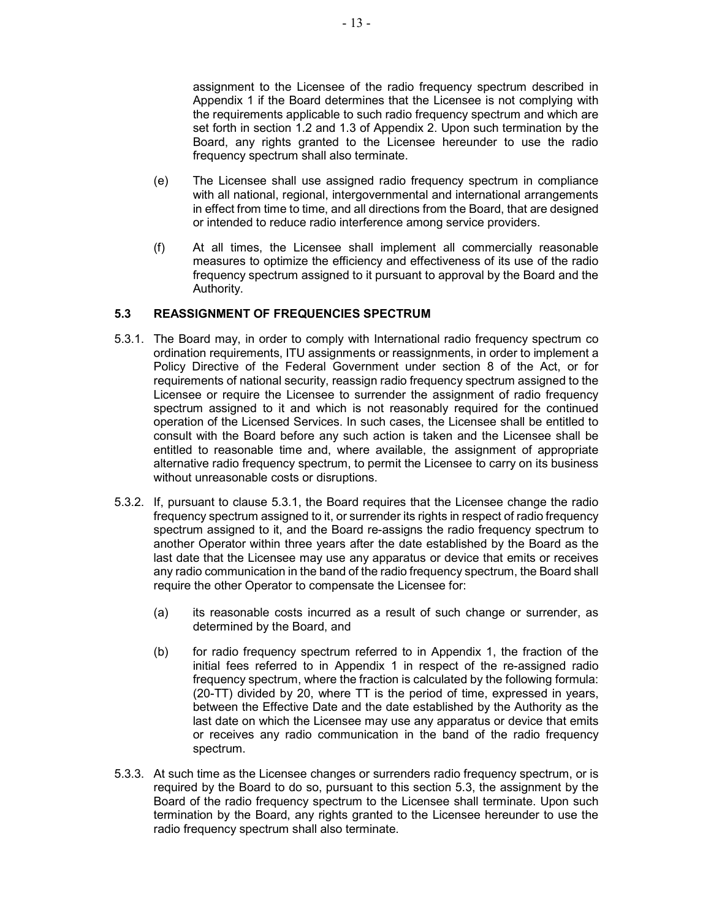assignment to the Licensee of the radio frequency spectrum described in Appendix 1 if the Board determines that the Licensee is not complying with the requirements applicable to such radio frequency spectrum and which are set forth in section 1.2 and 1.3 of Appendix 2. Upon such termination by the Board, any rights granted to the Licensee hereunder to use the radio frequency spectrum shall also terminate.

- (e) The Licensee shall use assigned radio frequency spectrum in compliance with all national, regional, intergovernmental and international arrangements in effect from time to time, and all directions from the Board, that are designed or intended to reduce radio interference among service providers.
- (f) At all times, the Licensee shall implement all commercially reasonable measures to optimize the efficiency and effectiveness of its use of the radio frequency spectrum assigned to it pursuant to approval by the Board and the Authority.

### 5.3 REASSIGNMENT OF FREQUENCIES SPECTRUM

- 5.3.1. The Board may, in order to comply with International radio frequency spectrum co ordination requirements, ITU assignments or reassignments, in order to implement a Policy Directive of the Federal Government under section 8 of the Act, or for requirements of national security, reassign radio frequency spectrum assigned to the Licensee or require the Licensee to surrender the assignment of radio frequency spectrum assigned to it and which is not reasonably required for the continued operation of the Licensed Services. In such cases, the Licensee shall be entitled to consult with the Board before any such action is taken and the Licensee shall be entitled to reasonable time and, where available, the assignment of appropriate alternative radio frequency spectrum, to permit the Licensee to carry on its business without unreasonable costs or disruptions.
- 5.3.2. If, pursuant to clause 5.3.1, the Board requires that the Licensee change the radio frequency spectrum assigned to it, or surrender its rights in respect of radio frequency spectrum assigned to it, and the Board re-assigns the radio frequency spectrum to another Operator within three years after the date established by the Board as the last date that the Licensee may use any apparatus or device that emits or receives any radio communication in the band of the radio frequency spectrum, the Board shall require the other Operator to compensate the Licensee for:
	- (a) its reasonable costs incurred as a result of such change or surrender, as determined by the Board, and
	- (b) for radio frequency spectrum referred to in Appendix 1, the fraction of the initial fees referred to in Appendix 1 in respect of the re-assigned radio frequency spectrum, where the fraction is calculated by the following formula: (20-TT) divided by 20, where TT is the period of time, expressed in years, between the Effective Date and the date established by the Authority as the last date on which the Licensee may use any apparatus or device that emits or receives any radio communication in the band of the radio frequency spectrum.
- 5.3.3. At such time as the Licensee changes or surrenders radio frequency spectrum, or is required by the Board to do so, pursuant to this section 5.3, the assignment by the Board of the radio frequency spectrum to the Licensee shall terminate. Upon such termination by the Board, any rights granted to the Licensee hereunder to use the radio frequency spectrum shall also terminate.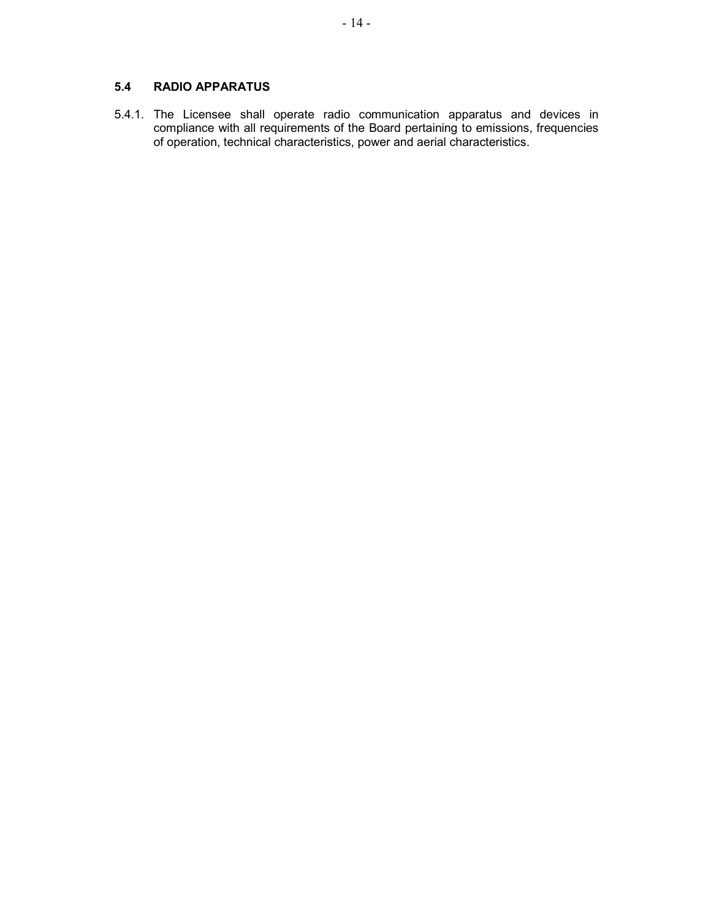# 5.4 RADIO APPARATUS

5.4.1. The Licensee shall operate radio communication apparatus and devices in compliance with all requirements of the Board pertaining to emissions, frequencies of operation, technical characteristics, power and aerial characteristics.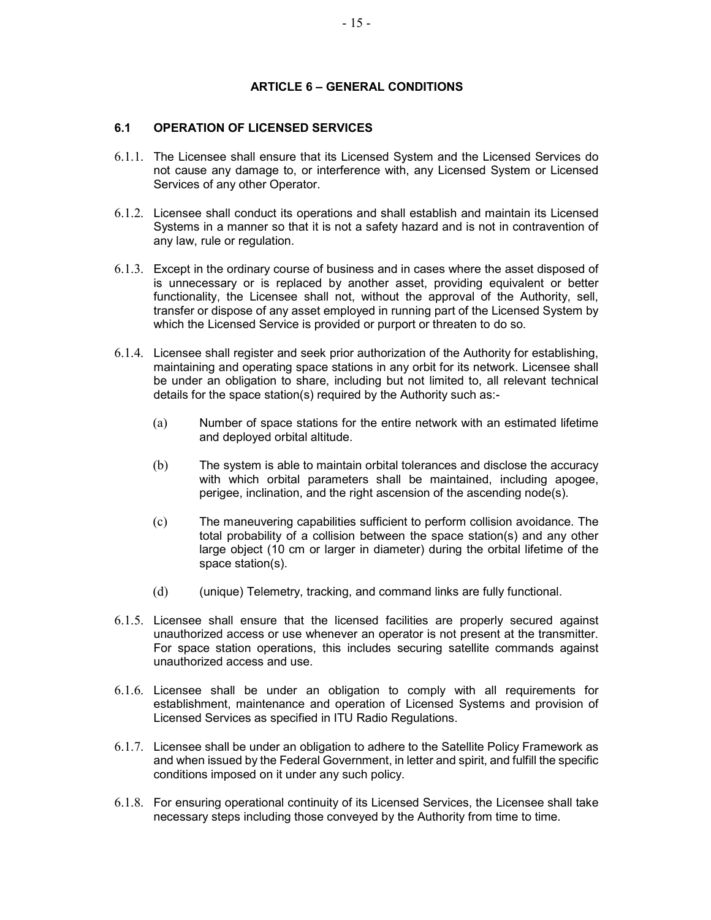### ARTICLE 6 – GENERAL CONDITIONS

# 6.1 OPERATION OF LICENSED SERVICES

- 6.1.1. The Licensee shall ensure that its Licensed System and the Licensed Services do not cause any damage to, or interference with, any Licensed System or Licensed Services of any other Operator.
- 6.1.2. Licensee shall conduct its operations and shall establish and maintain its Licensed Systems in a manner so that it is not a safety hazard and is not in contravention of any law, rule or regulation.
- 6.1.3. Except in the ordinary course of business and in cases where the asset disposed of is unnecessary or is replaced by another asset, providing equivalent or better functionality, the Licensee shall not, without the approval of the Authority, sell, transfer or dispose of any asset employed in running part of the Licensed System by which the Licensed Service is provided or purport or threaten to do so.
- 6.1.4. Licensee shall register and seek prior authorization of the Authority for establishing, maintaining and operating space stations in any orbit for its network. Licensee shall be under an obligation to share, including but not limited to, all relevant technical details for the space station(s) required by the Authority such as:-
	- (a) Number of space stations for the entire network with an estimated lifetime and deployed orbital altitude.
	- (b) The system is able to maintain orbital tolerances and disclose the accuracy with which orbital parameters shall be maintained, including apogee, perigee, inclination, and the right ascension of the ascending node(s).
	- (c) The maneuvering capabilities sufficient to perform collision avoidance. The total probability of a collision between the space station(s) and any other large object (10 cm or larger in diameter) during the orbital lifetime of the space station(s).
	- (d) (unique) Telemetry, tracking, and command links are fully functional.
- 6.1.5. Licensee shall ensure that the licensed facilities are properly secured against unauthorized access or use whenever an operator is not present at the transmitter. For space station operations, this includes securing satellite commands against unauthorized access and use.
- 6.1.6. Licensee shall be under an obligation to comply with all requirements for establishment, maintenance and operation of Licensed Systems and provision of Licensed Services as specified in ITU Radio Regulations.
- 6.1.7. Licensee shall be under an obligation to adhere to the Satellite Policy Framework as and when issued by the Federal Government, in letter and spirit, and fulfill the specific conditions imposed on it under any such policy.
- 6.1.8. For ensuring operational continuity of its Licensed Services, the Licensee shall take necessary steps including those conveyed by the Authority from time to time.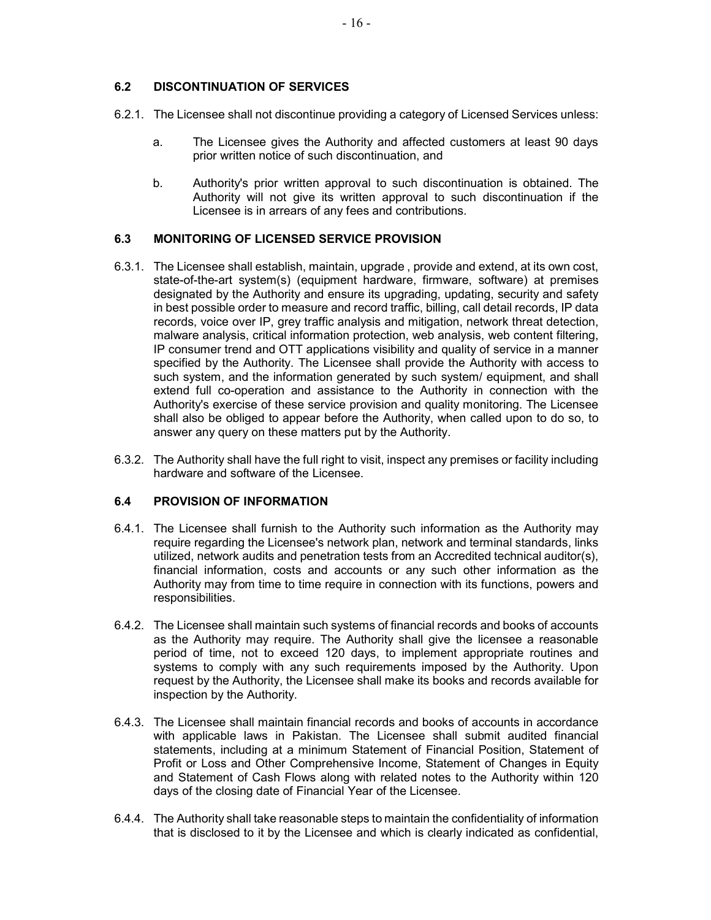### 6.2 DISCONTINUATION OF SERVICES

- 6.2.1. The Licensee shall not discontinue providing a category of Licensed Services unless:
	- a. The Licensee gives the Authority and affected customers at least 90 days prior written notice of such discontinuation, and
	- b. Authority's prior written approval to such discontinuation is obtained. The Authority will not give its written approval to such discontinuation if the Licensee is in arrears of any fees and contributions.

# 6.3 MONITORING OF LICENSED SERVICE PROVISION

- 6.3.1. The Licensee shall establish, maintain, upgrade , provide and extend, at its own cost, state-of-the-art system(s) (equipment hardware, firmware, software) at premises designated by the Authority and ensure its upgrading, updating, security and safety in best possible order to measure and record traffic, billing, call detail records, IP data records, voice over IP, grey traffic analysis and mitigation, network threat detection, malware analysis, critical information protection, web analysis, web content filtering, IP consumer trend and OTT applications visibility and quality of service in a manner specified by the Authority. The Licensee shall provide the Authority with access to such system, and the information generated by such system/ equipment, and shall extend full co-operation and assistance to the Authority in connection with the Authority's exercise of these service provision and quality monitoring. The Licensee shall also be obliged to appear before the Authority, when called upon to do so, to answer any query on these matters put by the Authority.
- 6.3.2. The Authority shall have the full right to visit, inspect any premises or facility including hardware and software of the Licensee.

#### 6.4 PROVISION OF INFORMATION

- 6.4.1. The Licensee shall furnish to the Authority such information as the Authority may require regarding the Licensee's network plan, network and terminal standards, links utilized, network audits and penetration tests from an Accredited technical auditor(s), financial information, costs and accounts or any such other information as the Authority may from time to time require in connection with its functions, powers and responsibilities.
- 6.4.2. The Licensee shall maintain such systems of financial records and books of accounts as the Authority may require. The Authority shall give the licensee a reasonable period of time, not to exceed 120 days, to implement appropriate routines and systems to comply with any such requirements imposed by the Authority. Upon request by the Authority, the Licensee shall make its books and records available for inspection by the Authority.
- 6.4.3. The Licensee shall maintain financial records and books of accounts in accordance with applicable laws in Pakistan. The Licensee shall submit audited financial statements, including at a minimum Statement of Financial Position, Statement of Profit or Loss and Other Comprehensive Income, Statement of Changes in Equity and Statement of Cash Flows along with related notes to the Authority within 120 days of the closing date of Financial Year of the Licensee.
- 6.4.4. The Authority shall take reasonable steps to maintain the confidentiality of information that is disclosed to it by the Licensee and which is clearly indicated as confidential,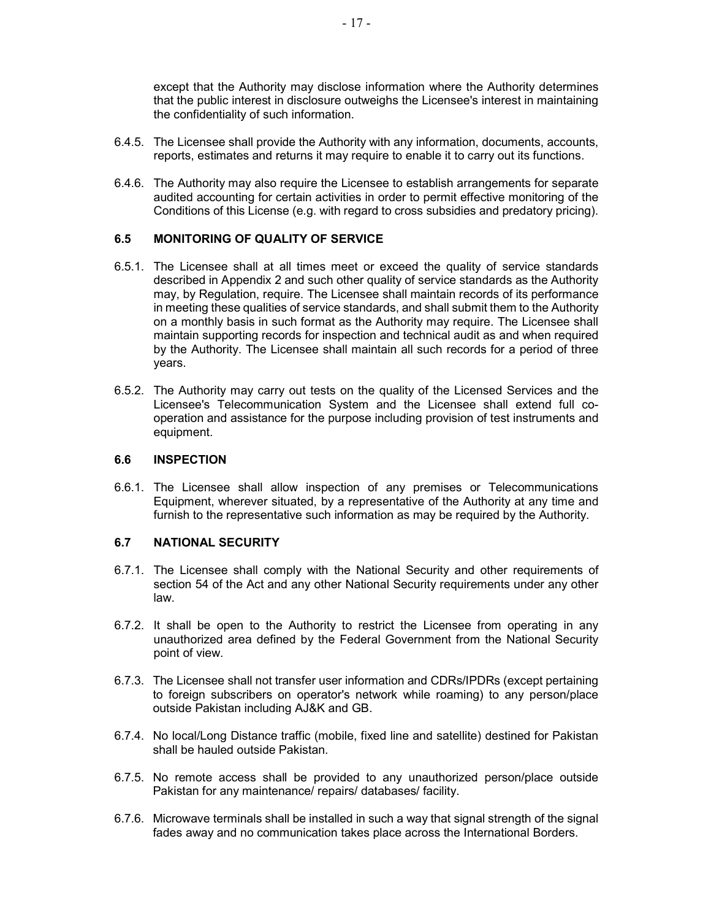except that the Authority may disclose information where the Authority determines that the public interest in disclosure outweighs the Licensee's interest in maintaining the confidentiality of such information.

- 6.4.5. The Licensee shall provide the Authority with any information, documents, accounts, reports, estimates and returns it may require to enable it to carry out its functions.
- 6.4.6. The Authority may also require the Licensee to establish arrangements for separate audited accounting for certain activities in order to permit effective monitoring of the Conditions of this License (e.g. with regard to cross subsidies and predatory pricing).

#### 6.5 MONITORING OF QUALITY OF SERVICE

- 6.5.1. The Licensee shall at all times meet or exceed the quality of service standards described in Appendix 2 and such other quality of service standards as the Authority may, by Regulation, require. The Licensee shall maintain records of its performance in meeting these qualities of service standards, and shall submit them to the Authority on a monthly basis in such format as the Authority may require. The Licensee shall maintain supporting records for inspection and technical audit as and when required by the Authority. The Licensee shall maintain all such records for a period of three years.
- 6.5.2. The Authority may carry out tests on the quality of the Licensed Services and the Licensee's Telecommunication System and the Licensee shall extend full cooperation and assistance for the purpose including provision of test instruments and equipment.

#### 6.6 INSPECTION

6.6.1. The Licensee shall allow inspection of any premises or Telecommunications Equipment, wherever situated, by a representative of the Authority at any time and furnish to the representative such information as may be required by the Authority.

#### 6.7 NATIONAL SECURITY

- 6.7.1. The Licensee shall comply with the National Security and other requirements of section 54 of the Act and any other National Security requirements under any other law.
- 6.7.2. It shall be open to the Authority to restrict the Licensee from operating in any unauthorized area defined by the Federal Government from the National Security point of view.
- 6.7.3. The Licensee shall not transfer user information and CDRs/IPDRs (except pertaining to foreign subscribers on operator's network while roaming) to any person/place outside Pakistan including AJ&K and GB.
- 6.7.4. No local/Long Distance traffic (mobile, fixed line and satellite) destined for Pakistan shall be hauled outside Pakistan.
- 6.7.5. No remote access shall be provided to any unauthorized person/place outside Pakistan for any maintenance/ repairs/ databases/ facility.
- 6.7.6. Microwave terminals shall be installed in such a way that signal strength of the signal fades away and no communication takes place across the International Borders.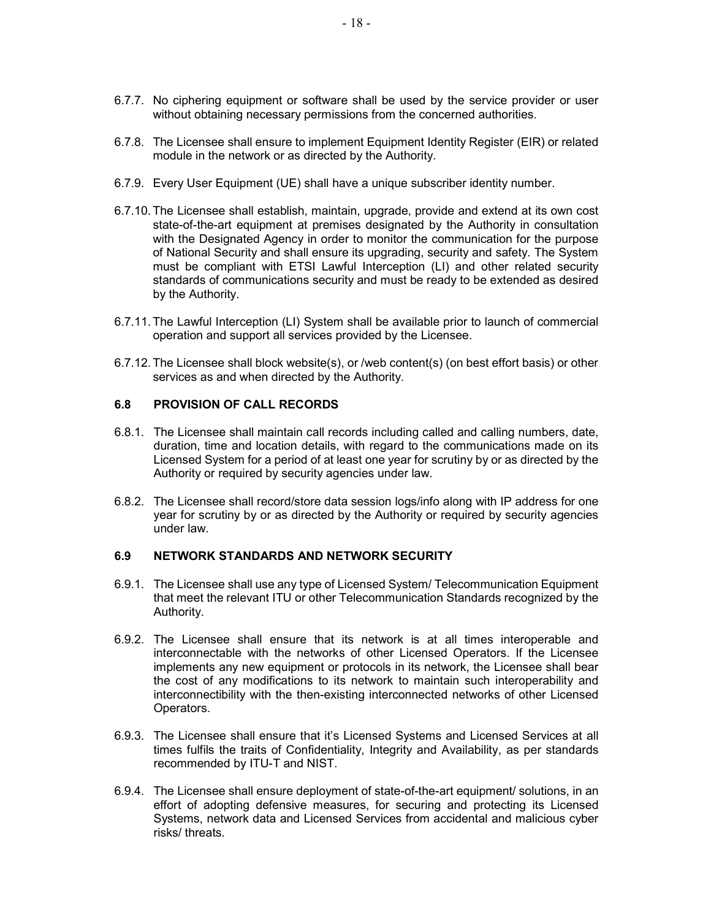- 6.7.7. No ciphering equipment or software shall be used by the service provider or user without obtaining necessary permissions from the concerned authorities.
- 6.7.8. The Licensee shall ensure to implement Equipment Identity Register (EIR) or related module in the network or as directed by the Authority.
- 6.7.9. Every User Equipment (UE) shall have a unique subscriber identity number.
- 6.7.10. The Licensee shall establish, maintain, upgrade, provide and extend at its own cost state-of-the-art equipment at premises designated by the Authority in consultation with the Designated Agency in order to monitor the communication for the purpose of National Security and shall ensure its upgrading, security and safety. The System must be compliant with ETSI Lawful Interception (LI) and other related security standards of communications security and must be ready to be extended as desired by the Authority.
- 6.7.11. The Lawful Interception (LI) System shall be available prior to launch of commercial operation and support all services provided by the Licensee.
- 6.7.12. The Licensee shall block website(s), or /web content(s) (on best effort basis) or other services as and when directed by the Authority.

#### 6.8 PROVISION OF CALL RECORDS

- 6.8.1. The Licensee shall maintain call records including called and calling numbers, date, duration, time and location details, with regard to the communications made on its Licensed System for a period of at least one year for scrutiny by or as directed by the Authority or required by security agencies under law.
- 6.8.2. The Licensee shall record/store data session logs/info along with IP address for one year for scrutiny by or as directed by the Authority or required by security agencies under law.

# 6.9 NETWORK STANDARDS AND NETWORK SECURITY

- 6.9.1. The Licensee shall use any type of Licensed System/ Telecommunication Equipment that meet the relevant ITU or other Telecommunication Standards recognized by the Authority.
- 6.9.2. The Licensee shall ensure that its network is at all times interoperable and interconnectable with the networks of other Licensed Operators. If the Licensee implements any new equipment or protocols in its network, the Licensee shall bear the cost of any modifications to its network to maintain such interoperability and interconnectibility with the then-existing interconnected networks of other Licensed Operators.
- 6.9.3. The Licensee shall ensure that it's Licensed Systems and Licensed Services at all times fulfils the traits of Confidentiality, Integrity and Availability, as per standards recommended by ITU-T and NIST.
- 6.9.4. The Licensee shall ensure deployment of state-of-the-art equipment/ solutions, in an effort of adopting defensive measures, for securing and protecting its Licensed Systems, network data and Licensed Services from accidental and malicious cyber risks/ threats.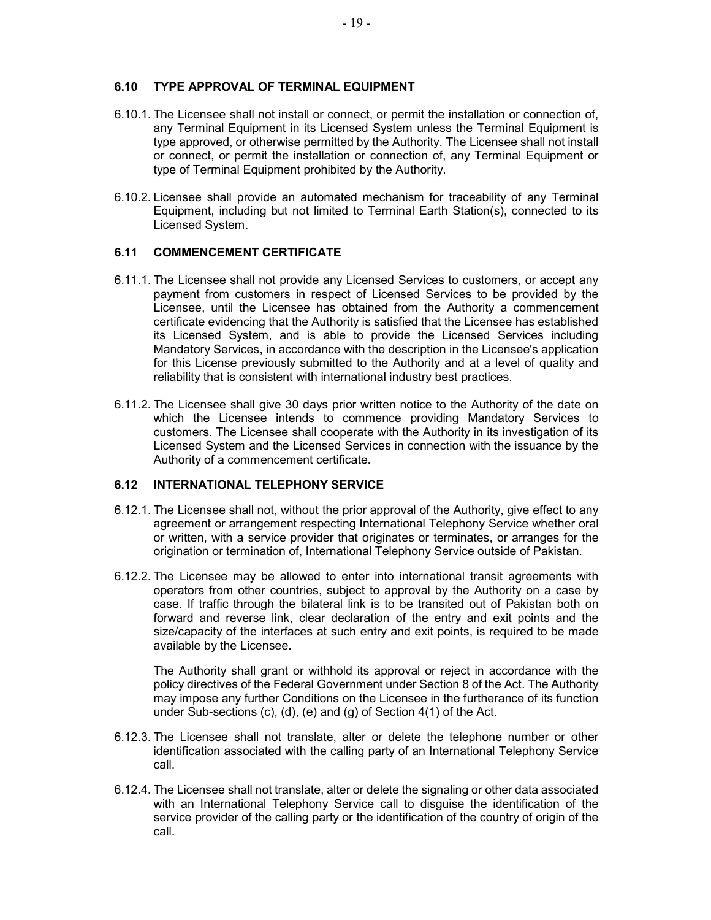### 6.10 TYPE APPROVAL OF TERMINAL EQUIPMENT

- 6.10.1. The Licensee shall not install or connect, or permit the installation or connection of, any Terminal Equipment in its Licensed System unless the Terminal Equipment is type approved, or otherwise permitted by the Authority. The Licensee shall not install or connect, or permit the installation or connection of, any Terminal Equipment or type of Terminal Equipment prohibited by the Authority.
- 6.10.2. Licensee shall provide an automated mechanism for traceability of any Terminal Equipment, including but not limited to Terminal Earth Station(s), connected to its Licensed System.

### 6.11 COMMENCEMENT CERTIFICATE

- 6.11.1. The Licensee shall not provide any Licensed Services to customers, or accept any payment from customers in respect of Licensed Services to be provided by the Licensee, until the Licensee has obtained from the Authority a commencement certificate evidencing that the Authority is satisfied that the Licensee has established its Licensed System, and is able to provide the Licensed Services including Mandatory Services, in accordance with the description in the Licensee's application for this License previously submitted to the Authority and at a level of quality and reliability that is consistent with international industry best practices.
- 6.11.2. The Licensee shall give 30 days prior written notice to the Authority of the date on which the Licensee intends to commence providing Mandatory Services to customers. The Licensee shall cooperate with the Authority in its investigation of its Licensed System and the Licensed Services in connection with the issuance by the Authority of a commencement certificate.

### 6.12 INTERNATIONAL TELEPHONY SERVICE

- 6.12.1. The Licensee shall not, without the prior approval of the Authority, give effect to any agreement or arrangement respecting International Telephony Service whether oral or written, with a service provider that originates or terminates, or arranges for the origination or termination of, International Telephony Service outside of Pakistan.
- 6.12.2. The Licensee may be allowed to enter into international transit agreements with operators from other countries, subject to approval by the Authority on a case by case. If traffic through the bilateral link is to be transited out of Pakistan both on forward and reverse link, clear declaration of the entry and exit points and the size/capacity of the interfaces at such entry and exit points, is required to be made available by the Licensee.

The Authority shall grant or withhold its approval or reject in accordance with the policy directives of the Federal Government under Section 8 of the Act. The Authority may impose any further Conditions on the Licensee in the furtherance of its function under Sub-sections (c), (d), (e) and (g) of Section 4(1) of the Act.

- 6.12.3. The Licensee shall not translate, alter or delete the telephone number or other identification associated with the calling party of an International Telephony Service call.
- 6.12.4. The Licensee shall not translate, alter or delete the signaling or other data associated with an International Telephony Service call to disguise the identification of the service provider of the calling party or the identification of the country of origin of the call.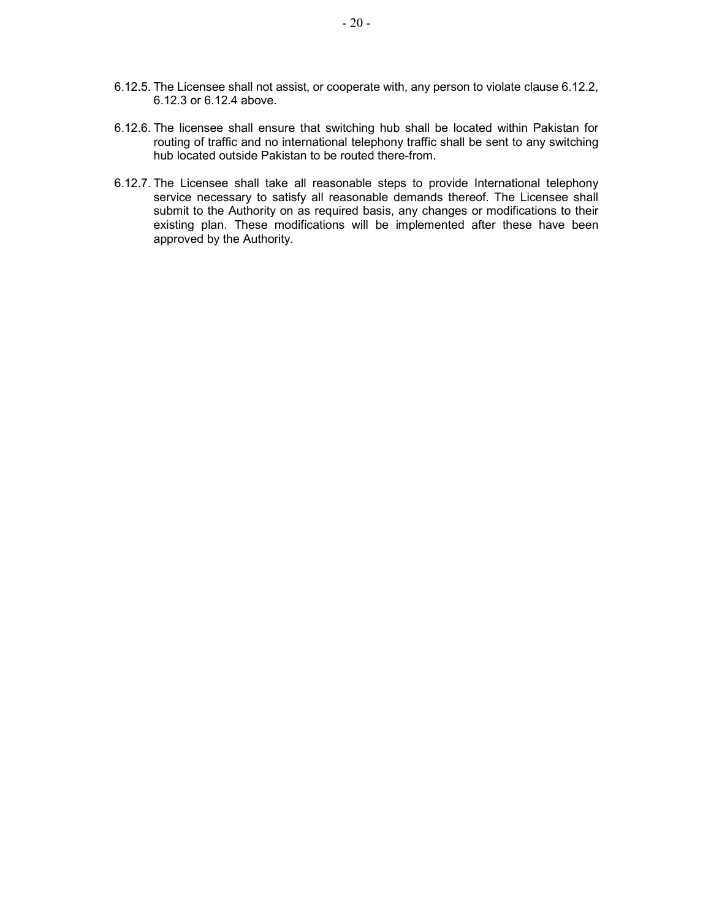- 6.12.5. The Licensee shall not assist, or cooperate with, any person to violate clause 6.12.2, 6.12.3 or 6.12.4 above.
- 6.12.6. The licensee shall ensure that switching hub shall be located within Pakistan for routing of traffic and no international telephony traffic shall be sent to any switching hub located outside Pakistan to be routed there-from.
- 6.12.7. The Licensee shall take all reasonable steps to provide International telephony service necessary to satisfy all reasonable demands thereof. The Licensee shall submit to the Authority on as required basis, any changes or modifications to their existing plan. These modifications will be implemented after these have been approved by the Authority.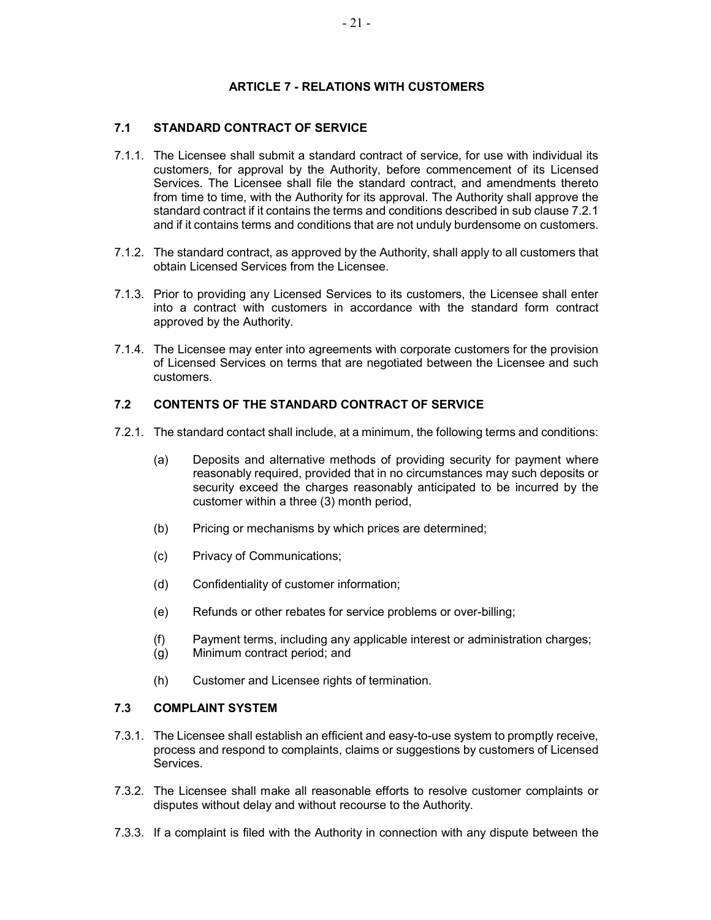# ARTICLE 7 - RELATIONS WITH CUSTOMERS

# 7.1 STANDARD CONTRACT OF SERVICE

- 7.1.1. The Licensee shall submit a standard contract of service, for use with individual its customers, for approval by the Authority, before commencement of its Licensed Services. The Licensee shall file the standard contract, and amendments thereto from time to time, with the Authority for its approval. The Authority shall approve the standard contract if it contains the terms and conditions described in sub clause 7.2.1 and if it contains terms and conditions that are not unduly burdensome on customers.
- 7.1.2. The standard contract, as approved by the Authority, shall apply to all customers that obtain Licensed Services from the Licensee.
- 7.1.3. Prior to providing any Licensed Services to its customers, the Licensee shall enter into a contract with customers in accordance with the standard form contract approved by the Authority.
- 7.1.4. The Licensee may enter into agreements with corporate customers for the provision of Licensed Services on terms that are negotiated between the Licensee and such customers.

# 7.2 CONTENTS OF THE STANDARD CONTRACT OF SERVICE

- 7.2.1. The standard contact shall include, at a minimum, the following terms and conditions:
	- (a) Deposits and alternative methods of providing security for payment where reasonably required, provided that in no circumstances may such deposits or security exceed the charges reasonably anticipated to be incurred by the customer within a three (3) month period,
	- (b) Pricing or mechanisms by which prices are determined;
	- (c) Privacy of Communications;
	- (d) Confidentiality of customer information;
	- (e) Refunds or other rebates for service problems or over-billing;
	- (f) Payment terms, including any applicable interest or administration charges;
	- (g) Minimum contract period; and
	- (h) Customer and Licensee rights of termination.

### 7.3 COMPLAINT SYSTEM

- 7.3.1. The Licensee shall establish an efficient and easy-to-use system to promptly receive, process and respond to complaints, claims or suggestions by customers of Licensed Services.
- 7.3.2. The Licensee shall make all reasonable efforts to resolve customer complaints or disputes without delay and without recourse to the Authority.
- 7.3.3. If a complaint is filed with the Authority in connection with any dispute between the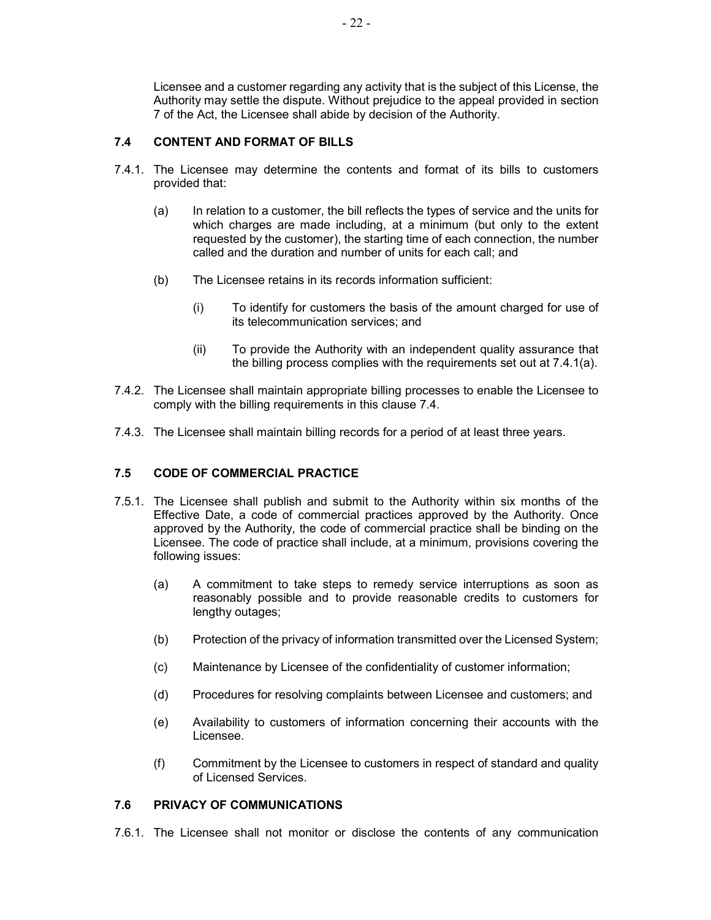Licensee and a customer regarding any activity that is the subject of this License, the Authority may settle the dispute. Without prejudice to the appeal provided in section 7 of the Act, the Licensee shall abide by decision of the Authority.

### 7.4 CONTENT AND FORMAT OF BILLS

- 7.4.1. The Licensee may determine the contents and format of its bills to customers provided that:
	- (a) In relation to a customer, the bill reflects the types of service and the units for which charges are made including, at a minimum (but only to the extent requested by the customer), the starting time of each connection, the number called and the duration and number of units for each call; and
	- (b) The Licensee retains in its records information sufficient:
		- (i) To identify for customers the basis of the amount charged for use of its telecommunication services; and
		- (ii) To provide the Authority with an independent quality assurance that the billing process complies with the requirements set out at 7.4.1(a).
- 7.4.2. The Licensee shall maintain appropriate billing processes to enable the Licensee to comply with the billing requirements in this clause 7.4.
- 7.4.3. The Licensee shall maintain billing records for a period of at least three years.

# 7.5 CODE OF COMMERCIAL PRACTICE

- 7.5.1. The Licensee shall publish and submit to the Authority within six months of the Effective Date, a code of commercial practices approved by the Authority. Once approved by the Authority, the code of commercial practice shall be binding on the Licensee. The code of practice shall include, at a minimum, provisions covering the following issues:
	- (a) A commitment to take steps to remedy service interruptions as soon as reasonably possible and to provide reasonable credits to customers for lengthy outages;
	- (b) Protection of the privacy of information transmitted over the Licensed System;
	- (c) Maintenance by Licensee of the confidentiality of customer information;
	- (d) Procedures for resolving complaints between Licensee and customers; and
	- (e) Availability to customers of information concerning their accounts with the Licensee.
	- (f) Commitment by the Licensee to customers in respect of standard and quality of Licensed Services.

#### 7.6 PRIVACY OF COMMUNICATIONS

7.6.1. The Licensee shall not monitor or disclose the contents of any communication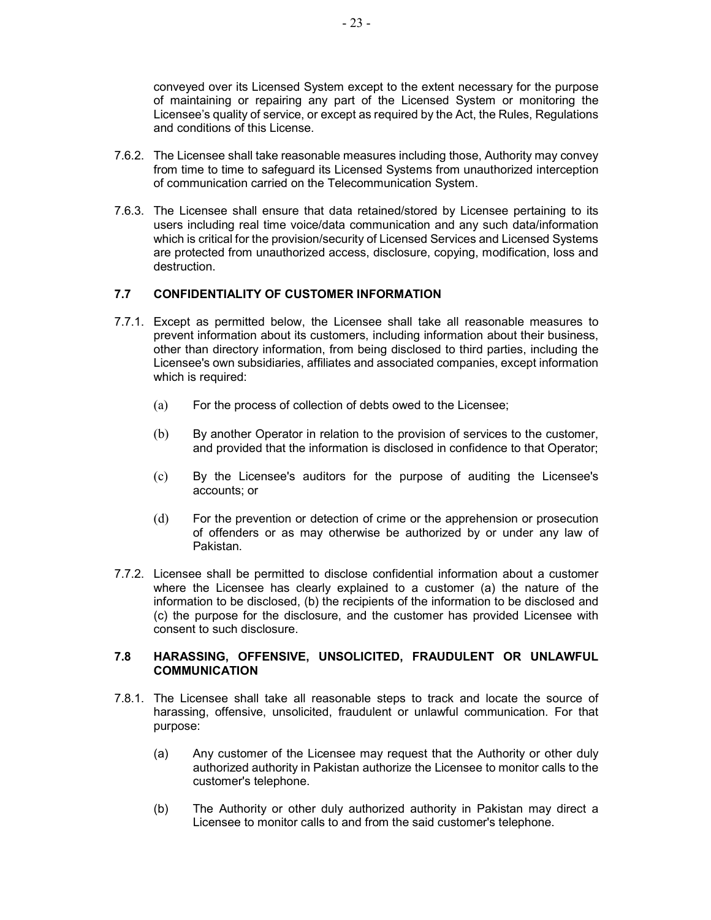conveyed over its Licensed System except to the extent necessary for the purpose of maintaining or repairing any part of the Licensed System or monitoring the Licensee's quality of service, or except as required by the Act, the Rules, Regulations and conditions of this License.

- 7.6.2. The Licensee shall take reasonable measures including those, Authority may convey from time to time to safeguard its Licensed Systems from unauthorized interception of communication carried on the Telecommunication System.
- 7.6.3. The Licensee shall ensure that data retained/stored by Licensee pertaining to its users including real time voice/data communication and any such data/information which is critical for the provision/security of Licensed Services and Licensed Systems are protected from unauthorized access, disclosure, copying, modification, loss and destruction.

# 7.7 CONFIDENTIALITY OF CUSTOMER INFORMATION

- 7.7.1. Except as permitted below, the Licensee shall take all reasonable measures to prevent information about its customers, including information about their business, other than directory information, from being disclosed to third parties, including the Licensee's own subsidiaries, affiliates and associated companies, except information which is required:
	- (a) For the process of collection of debts owed to the Licensee;
	- (b) By another Operator in relation to the provision of services to the customer, and provided that the information is disclosed in confidence to that Operator;
	- (c) By the Licensee's auditors for the purpose of auditing the Licensee's accounts; or
	- (d) For the prevention or detection of crime or the apprehension or prosecution of offenders or as may otherwise be authorized by or under any law of Pakistan.
- 7.7.2. Licensee shall be permitted to disclose confidential information about a customer where the Licensee has clearly explained to a customer (a) the nature of the information to be disclosed, (b) the recipients of the information to be disclosed and (c) the purpose for the disclosure, and the customer has provided Licensee with consent to such disclosure.

### 7.8 HARASSING, OFFENSIVE, UNSOLICITED, FRAUDULENT OR UNLAWFUL COMMUNICATION

- 7.8.1. The Licensee shall take all reasonable steps to track and locate the source of harassing, offensive, unsolicited, fraudulent or unlawful communication. For that purpose:
	- (a) Any customer of the Licensee may request that the Authority or other duly authorized authority in Pakistan authorize the Licensee to monitor calls to the customer's telephone.
	- (b) The Authority or other duly authorized authority in Pakistan may direct a Licensee to monitor calls to and from the said customer's telephone.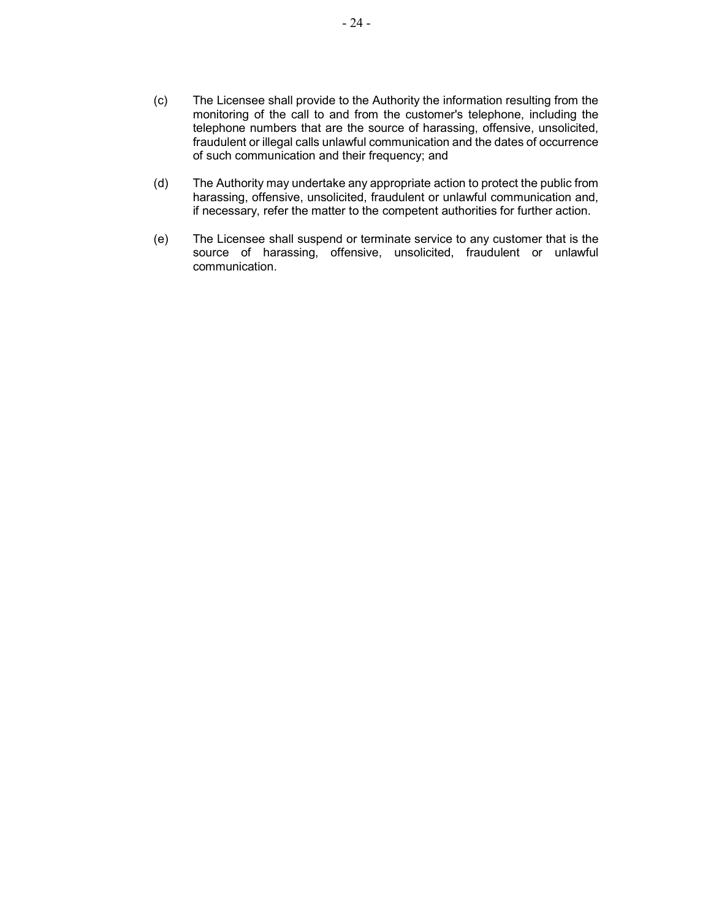- (c) The Licensee shall provide to the Authority the information resulting from the monitoring of the call to and from the customer's telephone, including the telephone numbers that are the source of harassing, offensive, unsolicited, fraudulent or illegal calls unlawful communication and the dates of occurrence of such communication and their frequency; and
- (d) The Authority may undertake any appropriate action to protect the public from harassing, offensive, unsolicited, fraudulent or unlawful communication and, if necessary, refer the matter to the competent authorities for further action.
- (e) The Licensee shall suspend or terminate service to any customer that is the source of harassing, offensive, unsolicited, fraudulent or unlawful communication.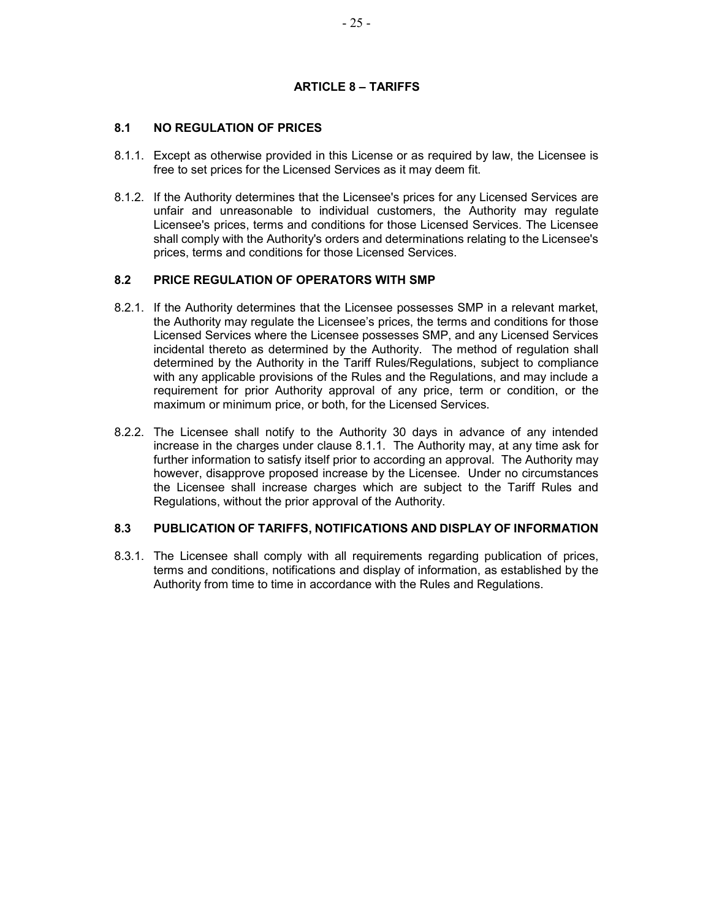### ARTICLE 8 – TARIFFS

# 8.1 NO REGULATION OF PRICES

- 8.1.1. Except as otherwise provided in this License or as required by law, the Licensee is free to set prices for the Licensed Services as it may deem fit.
- 8.1.2. If the Authority determines that the Licensee's prices for any Licensed Services are unfair and unreasonable to individual customers, the Authority may regulate Licensee's prices, terms and conditions for those Licensed Services. The Licensee shall comply with the Authority's orders and determinations relating to the Licensee's prices, terms and conditions for those Licensed Services.

#### 8.2 PRICE REGULATION OF OPERATORS WITH SMP

- 8.2.1. If the Authority determines that the Licensee possesses SMP in a relevant market, the Authority may regulate the Licensee's prices, the terms and conditions for those Licensed Services where the Licensee possesses SMP, and any Licensed Services incidental thereto as determined by the Authority. The method of regulation shall determined by the Authority in the Tariff Rules/Regulations, subject to compliance with any applicable provisions of the Rules and the Regulations, and may include a requirement for prior Authority approval of any price, term or condition, or the maximum or minimum price, or both, for the Licensed Services.
- 8.2.2. The Licensee shall notify to the Authority 30 days in advance of any intended increase in the charges under clause 8.1.1. The Authority may, at any time ask for further information to satisfy itself prior to according an approval. The Authority may however, disapprove proposed increase by the Licensee. Under no circumstances the Licensee shall increase charges which are subject to the Tariff Rules and Regulations, without the prior approval of the Authority.

#### 8.3 PUBLICATION OF TARIFFS, NOTIFICATIONS AND DISPLAY OF INFORMATION

8.3.1. The Licensee shall comply with all requirements regarding publication of prices, terms and conditions, notifications and display of information, as established by the Authority from time to time in accordance with the Rules and Regulations.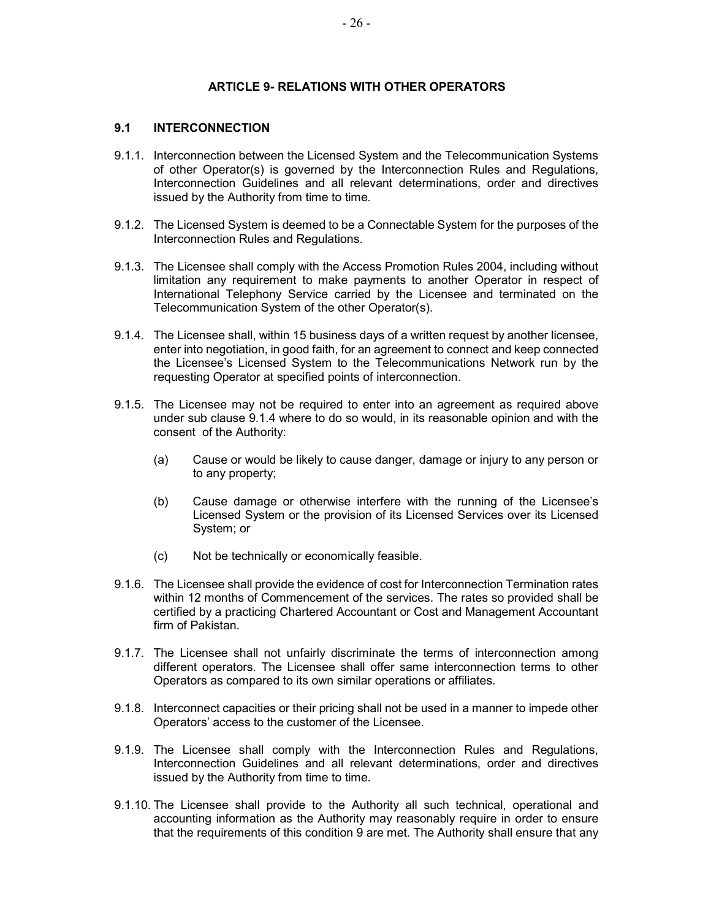# ARTICLE 9- RELATIONS WITH OTHER OPERATORS

# 9.1 INTERCONNECTION

- 9.1.1. Interconnection between the Licensed System and the Telecommunication Systems of other Operator(s) is governed by the Interconnection Rules and Regulations, Interconnection Guidelines and all relevant determinations, order and directives issued by the Authority from time to time.
- 9.1.2. The Licensed System is deemed to be a Connectable System for the purposes of the Interconnection Rules and Regulations.
- 9.1.3. The Licensee shall comply with the Access Promotion Rules 2004, including without limitation any requirement to make payments to another Operator in respect of International Telephony Service carried by the Licensee and terminated on the Telecommunication System of the other Operator(s).
- 9.1.4. The Licensee shall, within 15 business days of a written request by another licensee, enter into negotiation, in good faith, for an agreement to connect and keep connected the Licensee's Licensed System to the Telecommunications Network run by the requesting Operator at specified points of interconnection.
- 9.1.5. The Licensee may not be required to enter into an agreement as required above under sub clause 9.1.4 where to do so would, in its reasonable opinion and with the consent of the Authority:
	- (a) Cause or would be likely to cause danger, damage or injury to any person or to any property;
	- (b) Cause damage or otherwise interfere with the running of the Licensee's Licensed System or the provision of its Licensed Services over its Licensed System; or
	- (c) Not be technically or economically feasible.
- 9.1.6. The Licensee shall provide the evidence of cost for Interconnection Termination rates within 12 months of Commencement of the services. The rates so provided shall be certified by a practicing Chartered Accountant or Cost and Management Accountant firm of Pakistan.
- 9.1.7. The Licensee shall not unfairly discriminate the terms of interconnection among different operators. The Licensee shall offer same interconnection terms to other Operators as compared to its own similar operations or affiliates.
- 9.1.8. Interconnect capacities or their pricing shall not be used in a manner to impede other Operators' access to the customer of the Licensee.
- 9.1.9. The Licensee shall comply with the Interconnection Rules and Regulations, Interconnection Guidelines and all relevant determinations, order and directives issued by the Authority from time to time.
- 9.1.10. The Licensee shall provide to the Authority all such technical, operational and accounting information as the Authority may reasonably require in order to ensure that the requirements of this condition 9 are met. The Authority shall ensure that any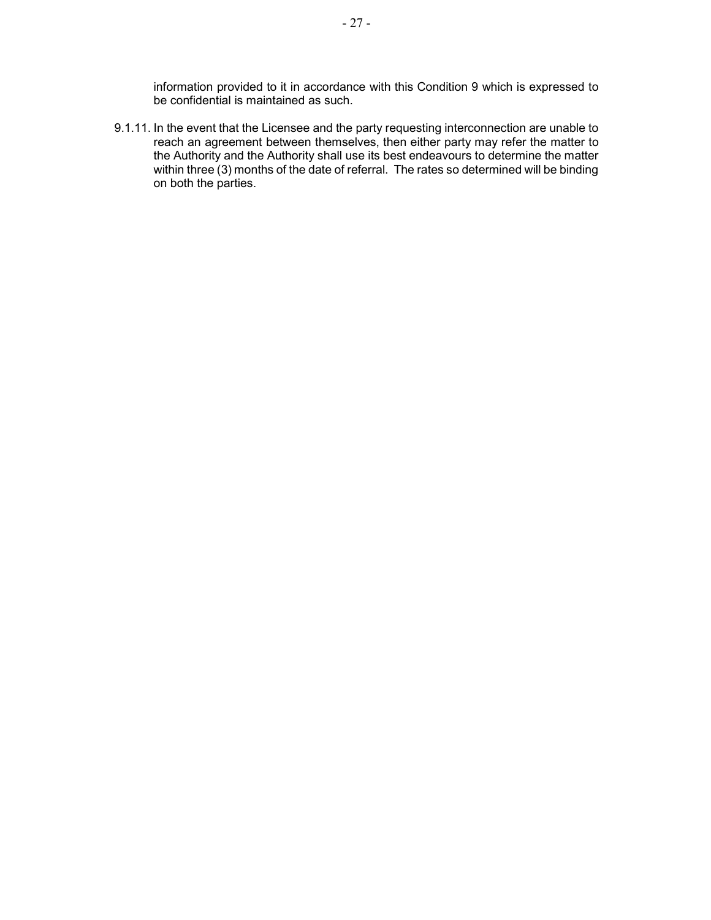information provided to it in accordance with this Condition 9 which is expressed to be confidential is maintained as such.

9.1.11. In the event that the Licensee and the party requesting interconnection are unable to reach an agreement between themselves, then either party may refer the matter to the Authority and the Authority shall use its best endeavours to determine the matter within three (3) months of the date of referral. The rates so determined will be binding on both the parties.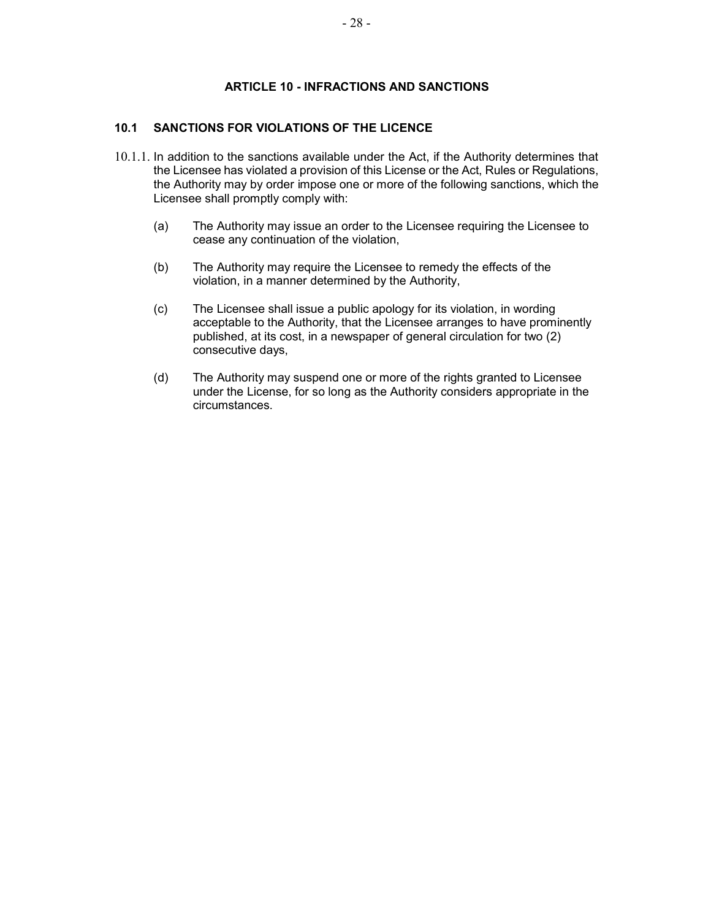# ARTICLE 10 - INFRACTIONS AND SANCTIONS

# 10.1 SANCTIONS FOR VIOLATIONS OF THE LICENCE

- 10.1.1. In addition to the sanctions available under the Act, if the Authority determines that the Licensee has violated a provision of this License or the Act, Rules or Regulations, the Authority may by order impose one or more of the following sanctions, which the Licensee shall promptly comply with:
	- (a) The Authority may issue an order to the Licensee requiring the Licensee to cease any continuation of the violation,
	- (b) The Authority may require the Licensee to remedy the effects of the violation, in a manner determined by the Authority,
	- (c) The Licensee shall issue a public apology for its violation, in wording acceptable to the Authority, that the Licensee arranges to have prominently published, at its cost, in a newspaper of general circulation for two (2) consecutive days,
	- (d) The Authority may suspend one or more of the rights granted to Licensee under the License, for so long as the Authority considers appropriate in the circumstances.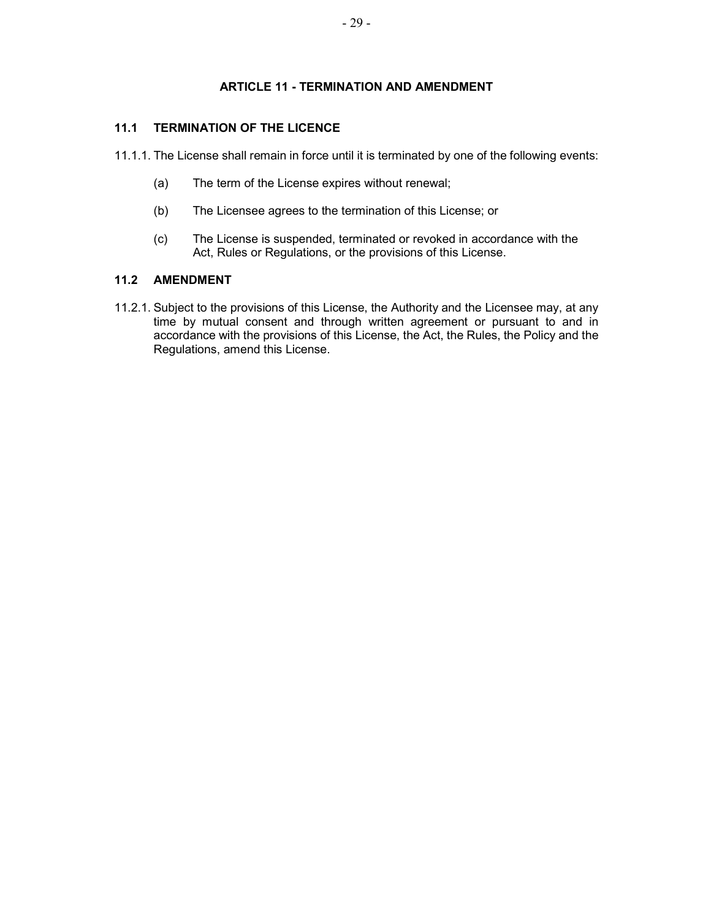# ARTICLE 11 - TERMINATION AND AMENDMENT

# 11.1 TERMINATION OF THE LICENCE

11.1.1. The License shall remain in force until it is terminated by one of the following events:

- (a) The term of the License expires without renewal;
- (b) The Licensee agrees to the termination of this License; or
- (c) The License is suspended, terminated or revoked in accordance with the Act, Rules or Regulations, or the provisions of this License.

### 11.2 AMENDMENT

11.2.1. Subject to the provisions of this License, the Authority and the Licensee may, at any time by mutual consent and through written agreement or pursuant to and in accordance with the provisions of this License, the Act, the Rules, the Policy and the Regulations, amend this License.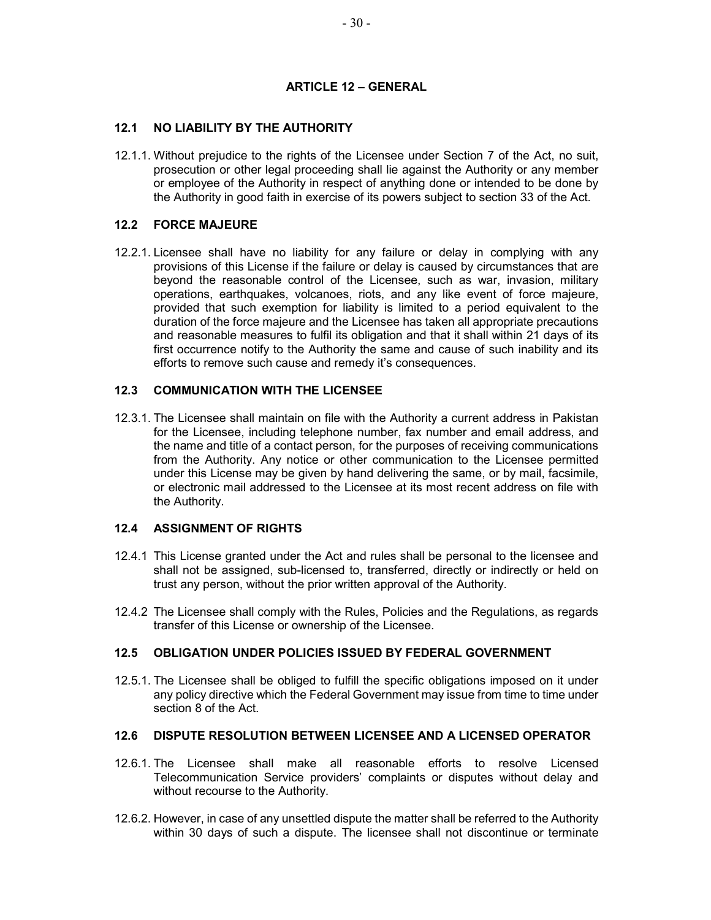## ARTICLE 12 – GENERAL

## 12.1 NO LIABILITY BY THE AUTHORITY

12.1.1. Without prejudice to the rights of the Licensee under Section 7 of the Act, no suit, prosecution or other legal proceeding shall lie against the Authority or any member or employee of the Authority in respect of anything done or intended to be done by the Authority in good faith in exercise of its powers subject to section 33 of the Act.

### 12.2 FORCE MAJEURE

12.2.1. Licensee shall have no liability for any failure or delay in complying with any provisions of this License if the failure or delay is caused by circumstances that are beyond the reasonable control of the Licensee, such as war, invasion, military operations, earthquakes, volcanoes, riots, and any like event of force majeure, provided that such exemption for liability is limited to a period equivalent to the duration of the force majeure and the Licensee has taken all appropriate precautions and reasonable measures to fulfil its obligation and that it shall within 21 days of its first occurrence notify to the Authority the same and cause of such inability and its efforts to remove such cause and remedy it's consequences.

### 12.3 COMMUNICATION WITH THE LICENSEE

12.3.1. The Licensee shall maintain on file with the Authority a current address in Pakistan for the Licensee, including telephone number, fax number and email address, and the name and title of a contact person, for the purposes of receiving communications from the Authority. Any notice or other communication to the Licensee permitted under this License may be given by hand delivering the same, or by mail, facsimile, or electronic mail addressed to the Licensee at its most recent address on file with the Authority.

#### 12.4 ASSIGNMENT OF RIGHTS

- 12.4.1 This License granted under the Act and rules shall be personal to the licensee and shall not be assigned, sub-licensed to, transferred, directly or indirectly or held on trust any person, without the prior written approval of the Authority.
- 12.4.2 The Licensee shall comply with the Rules, Policies and the Regulations, as regards transfer of this License or ownership of the Licensee.

#### 12.5 OBLIGATION UNDER POLICIES ISSUED BY FEDERAL GOVERNMENT

12.5.1. The Licensee shall be obliged to fulfill the specific obligations imposed on it under any policy directive which the Federal Government may issue from time to time under section 8 of the Act.

#### 12.6 DISPUTE RESOLUTION BETWEEN LICENSEE AND A LICENSED OPERATOR

- 12.6.1. The Licensee shall make all reasonable efforts to resolve Licensed Telecommunication Service providers' complaints or disputes without delay and without recourse to the Authority.
- 12.6.2. However, in case of any unsettled dispute the matter shall be referred to the Authority within 30 days of such a dispute. The licensee shall not discontinue or terminate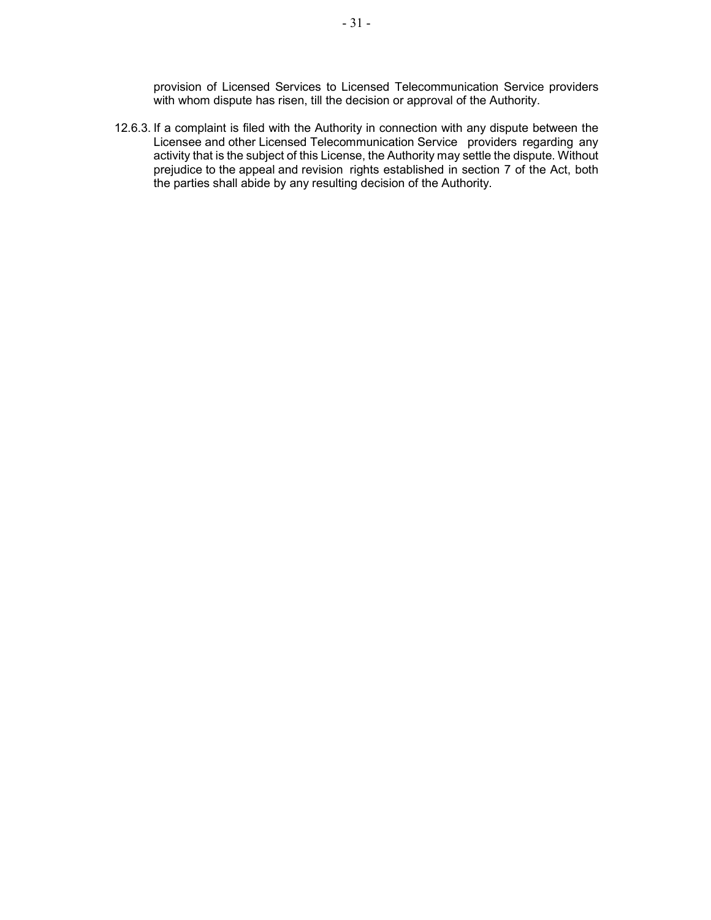provision of Licensed Services to Licensed Telecommunication Service providers with whom dispute has risen, till the decision or approval of the Authority.

12.6.3. If a complaint is filed with the Authority in connection with any dispute between the Licensee and other Licensed Telecommunication Service providers regarding any activity that is the subject of this License, the Authority may settle the dispute. Without prejudice to the appeal and revision rights established in section 7 of the Act, both the parties shall abide by any resulting decision of the Authority.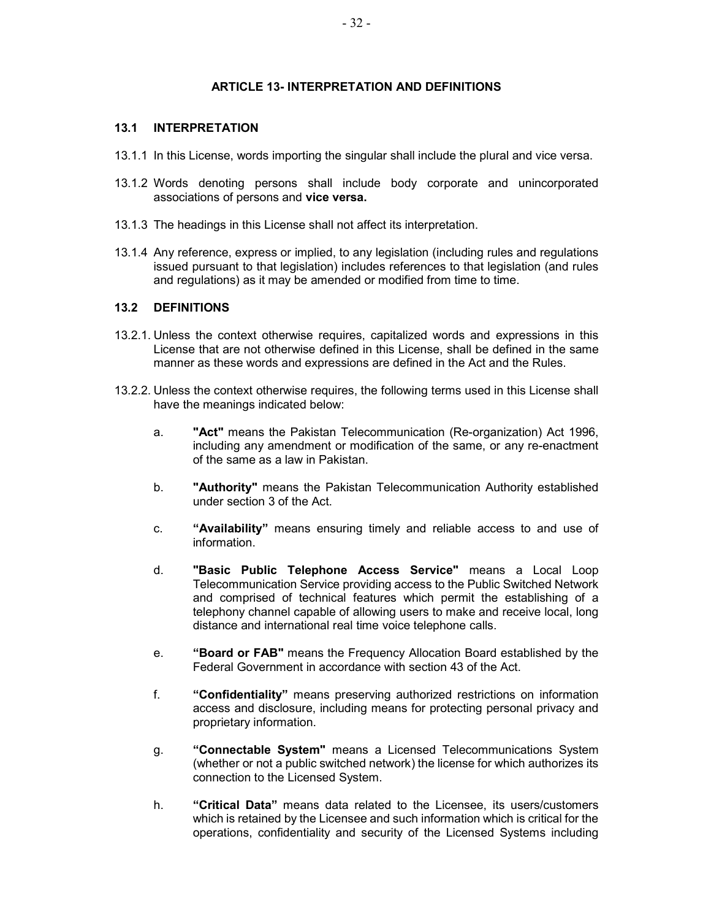### ARTICLE 13- INTERPRETATION AND DEFINITIONS

#### 13.1 INTERPRETATION

- 13.1.1 In this License, words importing the singular shall include the plural and vice versa.
- 13.1.2 Words denoting persons shall include body corporate and unincorporated associations of persons and vice versa.
- 13.1.3 The headings in this License shall not affect its interpretation.
- 13.1.4 Any reference, express or implied, to any legislation (including rules and regulations issued pursuant to that legislation) includes references to that legislation (and rules and regulations) as it may be amended or modified from time to time.

#### 13.2 DEFINITIONS

- 13.2.1. Unless the context otherwise requires, capitalized words and expressions in this License that are not otherwise defined in this License, shall be defined in the same manner as these words and expressions are defined in the Act and the Rules.
- 13.2.2. Unless the context otherwise requires, the following terms used in this License shall have the meanings indicated below:
	- a. "Act" means the Pakistan Telecommunication (Re-organization) Act 1996, including any amendment or modification of the same, or any re-enactment of the same as a law in Pakistan.
	- b. "Authority" means the Pakistan Telecommunication Authority established under section 3 of the Act.
	- c. "Availability" means ensuring timely and reliable access to and use of information.
	- d. "Basic Public Telephone Access Service" means a Local Loop Telecommunication Service providing access to the Public Switched Network and comprised of technical features which permit the establishing of a telephony channel capable of allowing users to make and receive local, long distance and international real time voice telephone calls.
	- e. "Board or FAB" means the Frequency Allocation Board established by the Federal Government in accordance with section 43 of the Act.
	- f. "Confidentiality" means preserving authorized restrictions on information access and disclosure, including means for protecting personal privacy and proprietary information.
	- g. "Connectable System" means a Licensed Telecommunications System (whether or not a public switched network) the license for which authorizes its connection to the Licensed System.
	- h. "Critical Data" means data related to the Licensee, its users/customers which is retained by the Licensee and such information which is critical for the operations, confidentiality and security of the Licensed Systems including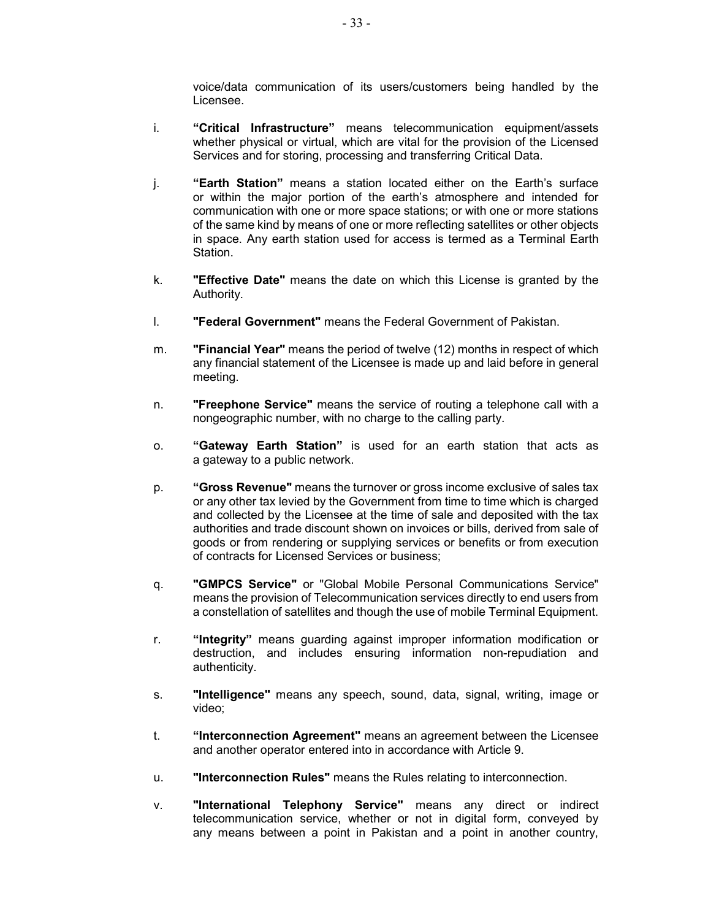voice/data communication of its users/customers being handled by the Licensee.

- i. "Critical Infrastructure" means telecommunication equipment/assets whether physical or virtual, which are vital for the provision of the Licensed Services and for storing, processing and transferring Critical Data.
- j. "Earth Station" means a station located either on the Earth's surface or within the major portion of the earth's atmosphere and intended for communication with one or more space stations; or with one or more stations of the same kind by means of one or more reflecting satellites or other objects in space. Any earth station used for access is termed as a Terminal Earth Station.
- k. **"Effective Date"** means the date on which this License is granted by the Authority.
- l. "Federal Government" means the Federal Government of Pakistan.
- m. **"Financial Year"** means the period of twelve (12) months in respect of which any financial statement of the Licensee is made up and laid before in general meeting.
- n. **"Freephone Service"** means the service of routing a telephone call with a nongeographic number, with no charge to the calling party.
- o. "Gateway Earth Station" is used for an earth station that acts as a gateway to a public network.
- p. "Gross Revenue" means the turnover or gross income exclusive of sales tax or any other tax levied by the Government from time to time which is charged and collected by the Licensee at the time of sale and deposited with the tax authorities and trade discount shown on invoices or bills, derived from sale of goods or from rendering or supplying services or benefits or from execution of contracts for Licensed Services or business;
- q. "GMPCS Service" or "Global Mobile Personal Communications Service" means the provision of Telecommunication services directly to end users from a constellation of satellites and though the use of mobile Terminal Equipment.
- r. "Integrity" means guarding against improper information modification or destruction, and includes ensuring information non-repudiation and authenticity.
- s. **"Intelligence"** means any speech, sound, data, signal, writing, image or video;
- t. "Interconnection Agreement" means an agreement between the Licensee and another operator entered into in accordance with Article 9.
- u. "Interconnection Rules" means the Rules relating to interconnection.
- v. "International Telephony Service" means any direct or indirect telecommunication service, whether or not in digital form, conveyed by any means between a point in Pakistan and a point in another country,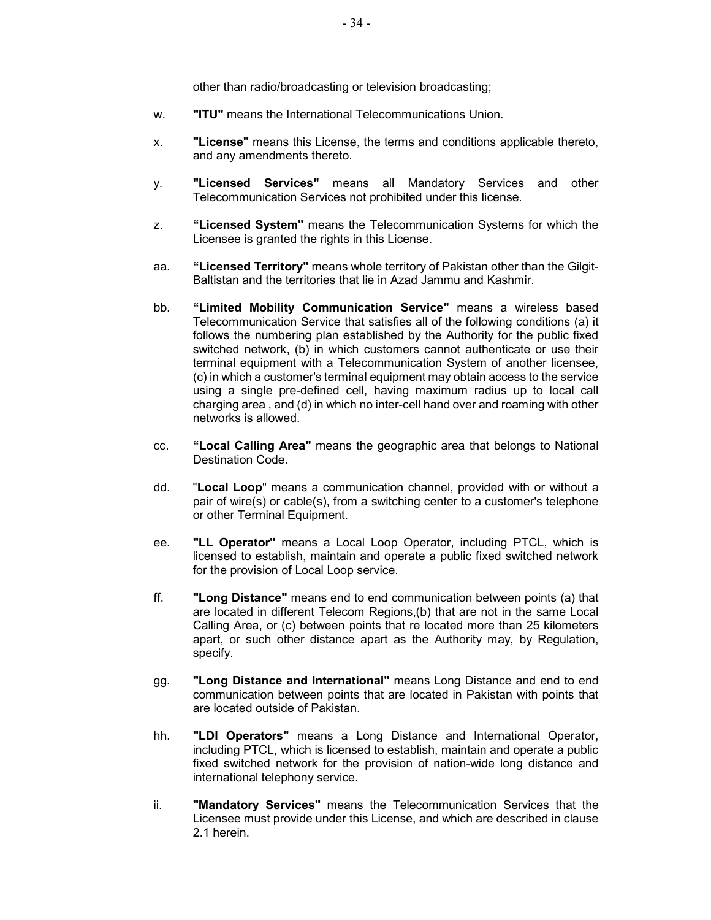other than radio/broadcasting or television broadcasting;

- w. "ITU" means the International Telecommunications Union.
- x. "License" means this License, the terms and conditions applicable thereto, and any amendments thereto.
- y. "Licensed Services" means all Mandatory Services and other Telecommunication Services not prohibited under this license.
- z. "Licensed System" means the Telecommunication Systems for which the Licensee is granted the rights in this License.
- aa. "Licensed Territory" means whole territory of Pakistan other than the Gilgit-Baltistan and the territories that lie in Azad Jammu and Kashmir.
- bb. "Limited Mobility Communication Service" means a wireless based Telecommunication Service that satisfies all of the following conditions (a) it follows the numbering plan established by the Authority for the public fixed switched network, (b) in which customers cannot authenticate or use their terminal equipment with a Telecommunication System of another licensee, (c) in which a customer's terminal equipment may obtain access to the service using a single pre-defined cell, having maximum radius up to local call charging area , and (d) in which no inter-cell hand over and roaming with other networks is allowed.
- cc. "Local Calling Area" means the geographic area that belongs to National Destination Code.
- dd. "Local Loop" means a communication channel, provided with or without a pair of wire(s) or cable(s), from a switching center to a customer's telephone or other Terminal Equipment.
- ee. "LL Operator" means a Local Loop Operator, including PTCL, which is licensed to establish, maintain and operate a public fixed switched network for the provision of Local Loop service.
- ff. "Long Distance" means end to end communication between points (a) that are located in different Telecom Regions,(b) that are not in the same Local Calling Area, or (c) between points that re located more than 25 kilometers apart, or such other distance apart as the Authority may, by Regulation, specify.
- gg. "Long Distance and International" means Long Distance and end to end communication between points that are located in Pakistan with points that are located outside of Pakistan.
- hh. "LDI Operators" means a Long Distance and International Operator, including PTCL, which is licensed to establish, maintain and operate a public fixed switched network for the provision of nation-wide long distance and international telephony service.
- ii. "Mandatory Services" means the Telecommunication Services that the Licensee must provide under this License, and which are described in clause 2.1 herein.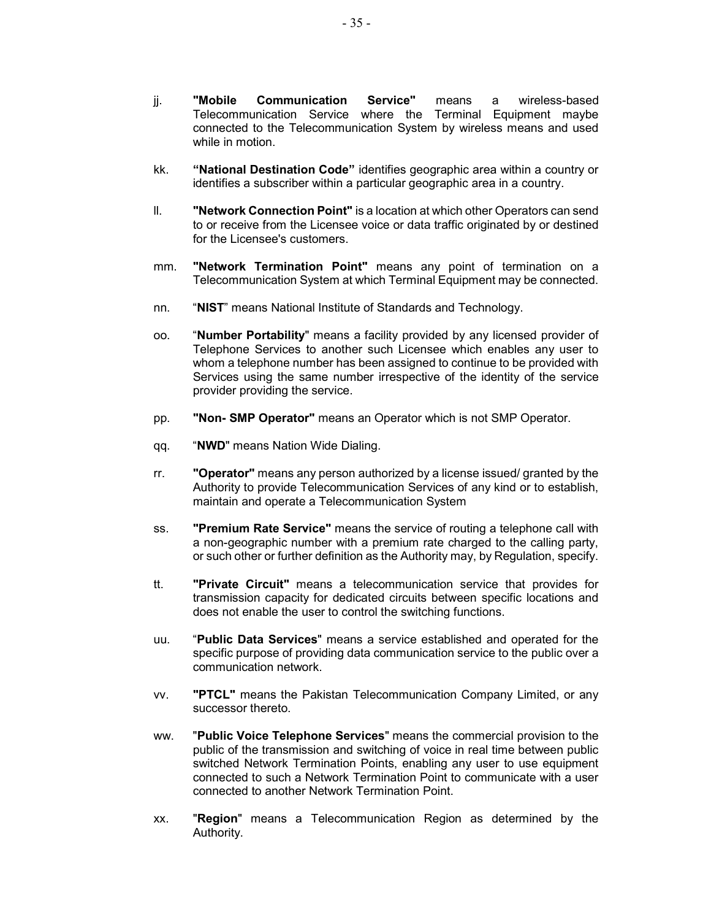- jj. "Mobile Communication Service" means a wireless-based Telecommunication Service where the Terminal Equipment maybe connected to the Telecommunication System by wireless means and used while in motion.
- kk. "National Destination Code" identifies geographic area within a country or identifies a subscriber within a particular geographic area in a country.
- ll. "Network Connection Point" is a location at which other Operators can send to or receive from the Licensee voice or data traffic originated by or destined for the Licensee's customers.
- mm. "Network Termination Point" means any point of termination on a Telecommunication System at which Terminal Equipment may be connected.
- nn. "NIST" means National Institute of Standards and Technology.
- oo. "Number Portability" means a facility provided by any licensed provider of Telephone Services to another such Licensee which enables any user to whom a telephone number has been assigned to continue to be provided with Services using the same number irrespective of the identity of the service provider providing the service.
- pp. "Non- SMP Operator" means an Operator which is not SMP Operator.
- qq. "NWD" means Nation Wide Dialing.
- rr. **"Operator"** means any person authorized by a license issued/ granted by the Authority to provide Telecommunication Services of any kind or to establish, maintain and operate a Telecommunication System
- ss. **"Premium Rate Service"** means the service of routing a telephone call with a non-geographic number with a premium rate charged to the calling party, or such other or further definition as the Authority may, by Regulation, specify.
- tt. "Private Circuit" means a telecommunication service that provides for transmission capacity for dedicated circuits between specific locations and does not enable the user to control the switching functions.
- uu. "Public Data Services" means a service established and operated for the specific purpose of providing data communication service to the public over a communication network.
- vv. "PTCL" means the Pakistan Telecommunication Company Limited, or any successor thereto.
- ww. "Public Voice Telephone Services" means the commercial provision to the public of the transmission and switching of voice in real time between public switched Network Termination Points, enabling any user to use equipment connected to such a Network Termination Point to communicate with a user connected to another Network Termination Point.
- xx. "Region" means a Telecommunication Region as determined by the Authority.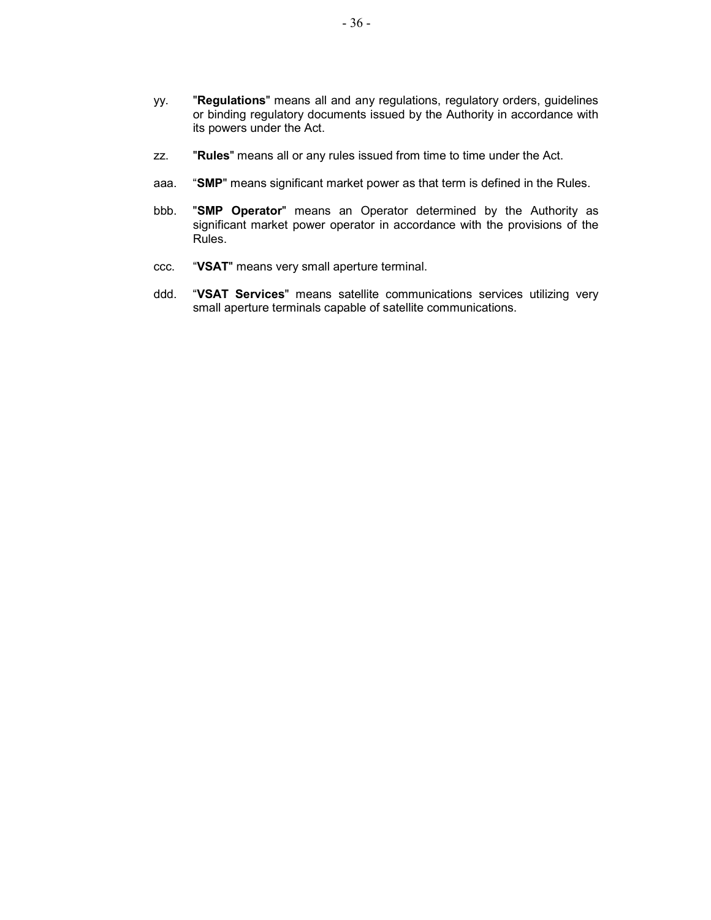- yy. "Regulations" means all and any regulations, regulatory orders, guidelines or binding regulatory documents issued by the Authority in accordance with its powers under the Act.
- zz. "Rules" means all or any rules issued from time to time under the Act.
- aaa. "SMP" means significant market power as that term is defined in the Rules.
- bbb. "SMP Operator" means an Operator determined by the Authority as significant market power operator in accordance with the provisions of the Rules.
- ccc. "VSAT" means very small aperture terminal.
- ddd. "VSAT Services" means satellite communications services utilizing very small aperture terminals capable of satellite communications.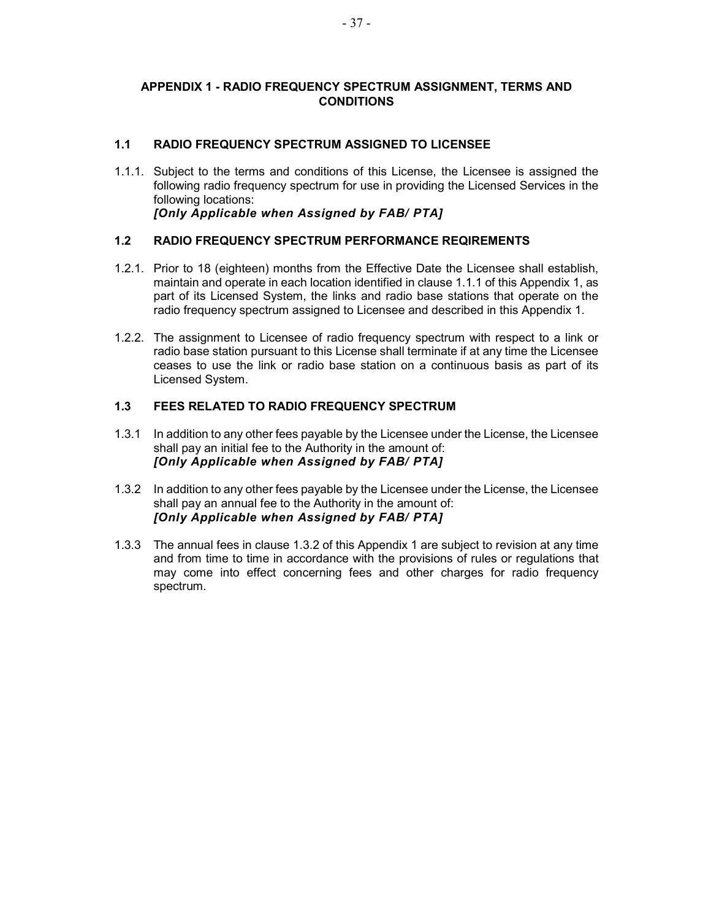# APPENDIX 1 - RADIO FREQUENCY SPECTRUM ASSIGNMENT, TERMS AND **CONDITIONS**

# 1.1 RADIO FREQUENCY SPECTRUM ASSIGNED TO LICENSEE

1.1.1. Subject to the terms and conditions of this License, the Licensee is assigned the following radio frequency spectrum for use in providing the Licensed Services in the following locations: [Only Applicable when Assigned by FAB/ PTA]

# 1.2 RADIO FREQUENCY SPECTRUM PERFORMANCE REQIREMENTS

- 1.2.1. Prior to 18 (eighteen) months from the Effective Date the Licensee shall establish, maintain and operate in each location identified in clause 1.1.1 of this Appendix 1, as part of its Licensed System, the links and radio base stations that operate on the radio frequency spectrum assigned to Licensee and described in this Appendix 1.
- 1.2.2. The assignment to Licensee of radio frequency spectrum with respect to a link or radio base station pursuant to this License shall terminate if at any time the Licensee ceases to use the link or radio base station on a continuous basis as part of its Licensed System.

### 1.3 FEES RELATED TO RADIO FREQUENCY SPECTRUM

- 1.3.1 In addition to any other fees payable by the Licensee under the License, the Licensee shall pay an initial fee to the Authority in the amount of: [Only Applicable when Assigned by FAB/ PTA]
- 1.3.2 In addition to any other fees payable by the Licensee under the License, the Licensee shall pay an annual fee to the Authority in the amount of: [Only Applicable when Assigned by FAB/ PTA]
- 1.3.3 The annual fees in clause 1.3.2 of this Appendix 1 are subject to revision at any time and from time to time in accordance with the provisions of rules or regulations that may come into effect concerning fees and other charges for radio frequency spectrum.